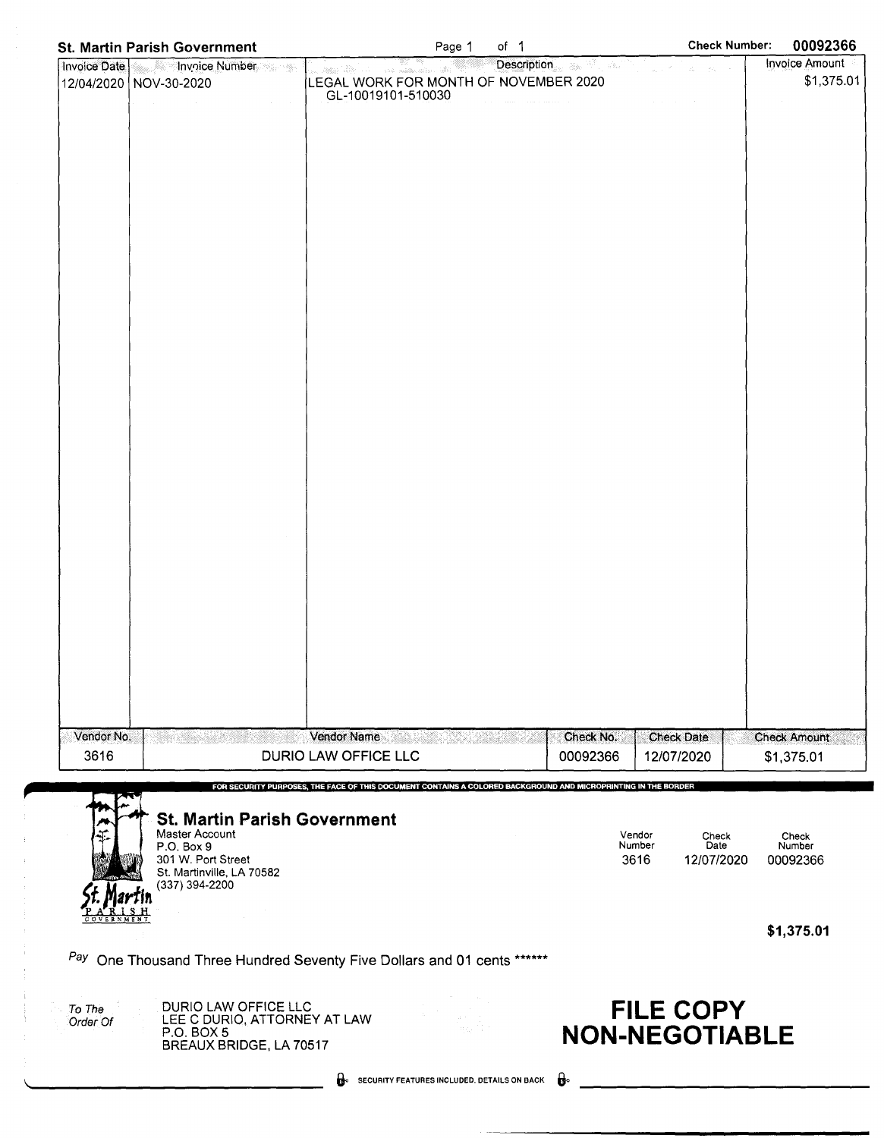|                    | <b>St. Martin Parish Government</b>                                                                                    | Page 1                                                                                                                                                                                                                                                                                             | of $1$                                              | <b>Check Number:</b>                                    | 00092366                          |
|--------------------|------------------------------------------------------------------------------------------------------------------------|----------------------------------------------------------------------------------------------------------------------------------------------------------------------------------------------------------------------------------------------------------------------------------------------------|-----------------------------------------------------|---------------------------------------------------------|-----------------------------------|
|                    | Invoice Date <b>Invoice Number</b><br>12/04/2020 NOV-30-2020                                                           | <b>Description</b> and the second of the second of the second of the second of the second of the second of the second of the second of the second of the second of the second of the second of the second of the second of the seco<br>LEGAL WORK FOR MONTH OF NOVEMBER 2020<br>GL-10019101-510030 | the contract of the contract of the contract of the | $\chi^2_{\rm in} = 100$ km s $^{-1}$<br>and a state     | Invoice Amount<br>\$1,375.01      |
|                    |                                                                                                                        |                                                                                                                                                                                                                                                                                                    |                                                     |                                                         |                                   |
|                    |                                                                                                                        |                                                                                                                                                                                                                                                                                                    |                                                     |                                                         |                                   |
|                    |                                                                                                                        |                                                                                                                                                                                                                                                                                                    |                                                     |                                                         |                                   |
|                    |                                                                                                                        |                                                                                                                                                                                                                                                                                                    |                                                     |                                                         |                                   |
|                    |                                                                                                                        |                                                                                                                                                                                                                                                                                                    |                                                     |                                                         |                                   |
|                    |                                                                                                                        |                                                                                                                                                                                                                                                                                                    |                                                     |                                                         |                                   |
|                    |                                                                                                                        |                                                                                                                                                                                                                                                                                                    |                                                     |                                                         |                                   |
|                    |                                                                                                                        |                                                                                                                                                                                                                                                                                                    |                                                     |                                                         |                                   |
|                    |                                                                                                                        |                                                                                                                                                                                                                                                                                                    |                                                     |                                                         |                                   |
|                    |                                                                                                                        |                                                                                                                                                                                                                                                                                                    |                                                     |                                                         |                                   |
|                    |                                                                                                                        |                                                                                                                                                                                                                                                                                                    |                                                     |                                                         |                                   |
|                    |                                                                                                                        |                                                                                                                                                                                                                                                                                                    |                                                     |                                                         |                                   |
|                    |                                                                                                                        |                                                                                                                                                                                                                                                                                                    |                                                     |                                                         |                                   |
|                    |                                                                                                                        |                                                                                                                                                                                                                                                                                                    |                                                     |                                                         |                                   |
| Vendor No.<br>3616 |                                                                                                                        | Vendor Name<br>DURIO LAW OFFICE LLC                                                                                                                                                                                                                                                                | Check No.<br>00092366                               | <b>Check Date</b><br>12/07/2020                         | <b>Check Amount</b><br>\$1,375.01 |
|                    |                                                                                                                        | FOR SECURITY PURPOSES, THE FACE OF THIS DOCUMENT CONTAINS A COLORED BACKGROUND AND MICROPRINTING IN THE BORDER                                                                                                                                                                                     |                                                     |                                                         |                                   |
|                    | <b>St. Martin Parish Government</b><br>Master Account<br>P.O. Box 9<br>301 W. Port Street<br>St. Martinville, LA 70582 |                                                                                                                                                                                                                                                                                                    |                                                     | Vendor<br>Check<br>Number<br>Date<br>3616<br>12/07/2020 | Check<br>Number<br>00092366       |
|                    | (337) 394-2200                                                                                                         |                                                                                                                                                                                                                                                                                                    |                                                     |                                                         |                                   |
|                    |                                                                                                                        | Pay One Thousand Three Hundred Seventy Five Dollars and 01 cents ******                                                                                                                                                                                                                            |                                                     |                                                         | \$1,375.01                        |
| To The<br>Order Of | DURIO LAW OFFICE LLC<br>LEE C DURIO, ATTORNEY AT LAW<br>P.O. BOX 5<br>BREAUX BRIDGE, LA 70517                          |                                                                                                                                                                                                                                                                                                    |                                                     | <b>FILE COPY</b><br><b>NON-NEGOTIABLE</b>               |                                   |
|                    |                                                                                                                        | SECURITY FEATURES INCLUDED. DETAILS ON BACK                                                                                                                                                                                                                                                        | ⊕                                                   |                                                         |                                   |

Ĵ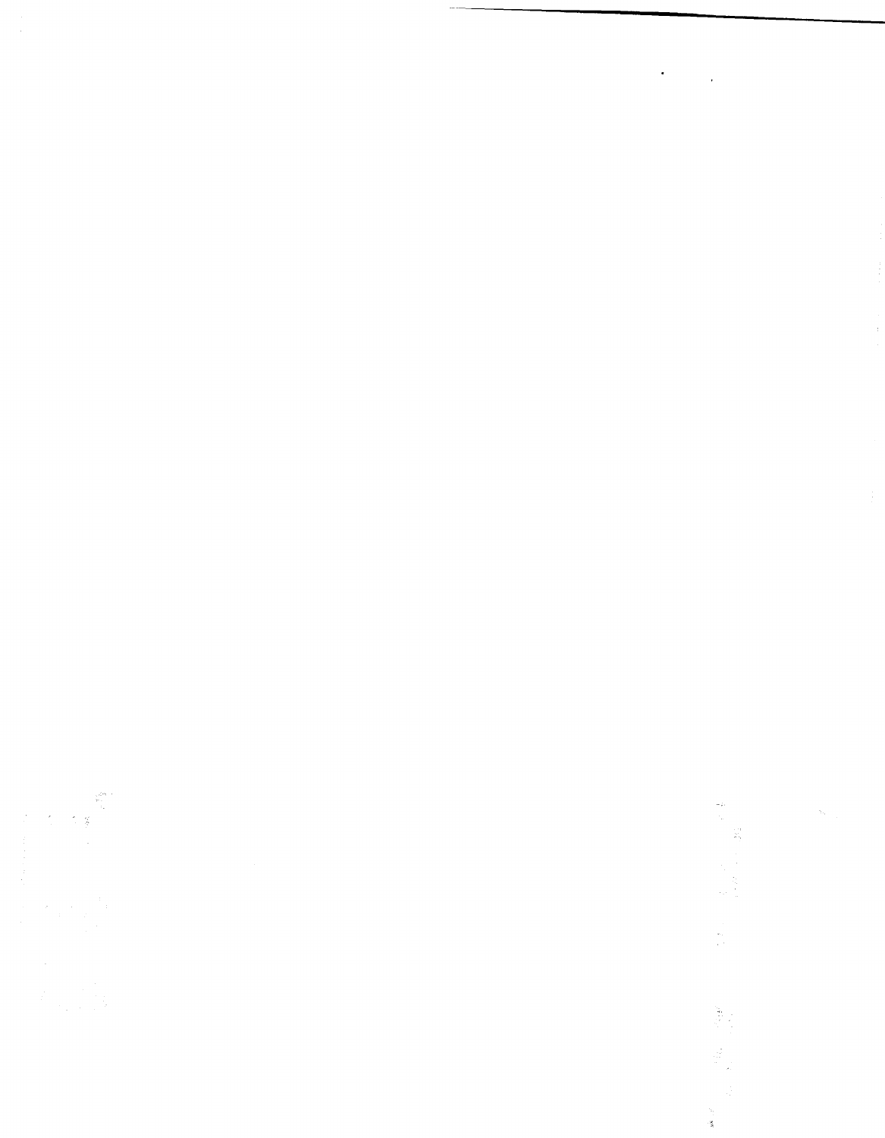$\label{eq:1} \frac{1}{2\pi}\frac{1}{\sqrt{2}}$ 

 $\mathbf{r}_{\text{max}}$  ,  $\mathbf{r}_{\text{max}}$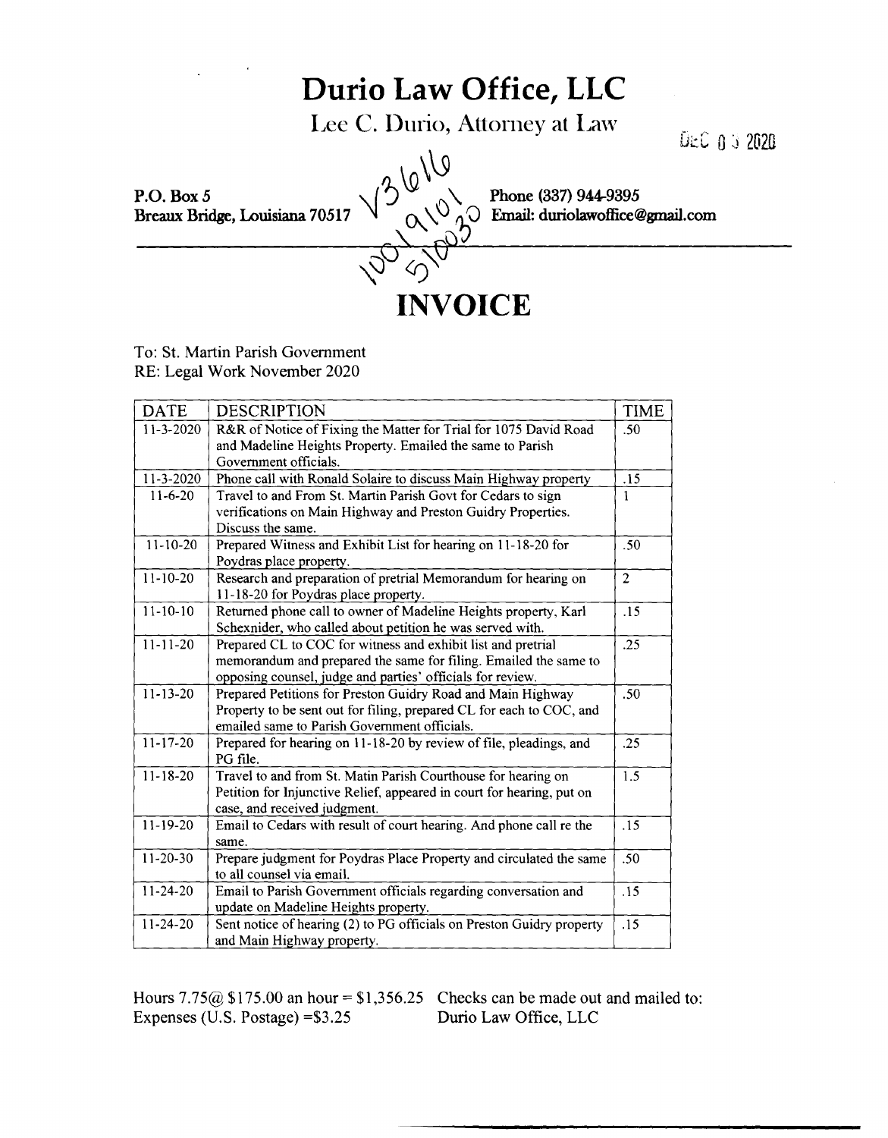DEC 03 2020



To: St. Martin Parish Government RE: Legal Work November 2020

| <b>DATE</b>    | <b>DESCRIPTION</b>                                                                                                                                                                             | <b>TIME</b>      |
|----------------|------------------------------------------------------------------------------------------------------------------------------------------------------------------------------------------------|------------------|
| $11-3-2020$    | R&R of Notice of Fixing the Matter for Trial for 1075 David Road<br>and Madeline Heights Property. Emailed the same to Parish<br>Government officials.                                         | .50              |
| 11-3-2020      | Phone call with Ronald Solaire to discuss Main Highway property                                                                                                                                | .15              |
| $11-6-20$      | Travel to and From St. Martin Parish Govt for Cedars to sign<br>verifications on Main Highway and Preston Guidry Properties.<br>Discuss the same.                                              | 1                |
| $11 - 10 - 20$ | Prepared Witness and Exhibit List for hearing on 11-18-20 for<br>Poydras place property.                                                                                                       | .50              |
| $11 - 10 - 20$ | Research and preparation of pretrial Memorandum for hearing on<br>11-18-20 for Poydras place property.                                                                                         | $\overline{2}$   |
| $11 - 10 - 10$ | Returned phone call to owner of Madeline Heights property, Karl<br>Schexnider, who called about petition he was served with.                                                                   | .15              |
| $11 - 11 - 20$ | Prepared CL to COC for witness and exhibit list and pretrial<br>memorandum and prepared the same for filing. Emailed the same to<br>opposing counsel, judge and parties' officials for review. | .25              |
| $11 - 13 - 20$ | Prepared Petitions for Preston Guidry Road and Main Highway<br>Property to be sent out for filing, prepared CL for each to COC, and<br>emailed same to Parish Government officials.            | .50              |
| $11 - 17 - 20$ | Prepared for hearing on 11-18-20 by review of file, pleadings, and<br>PG file.                                                                                                                 | .25              |
| $11 - 18 - 20$ | Travel to and from St. Matin Parish Courthouse for hearing on<br>Petition for Injunctive Relief, appeared in court for hearing, put on<br>case, and received judgment.                         | 1.5              |
| $11 - 19 - 20$ | Email to Cedars with result of court hearing. And phone call re the<br>same.                                                                                                                   | $\overline{.15}$ |
| $11-20-30$     | Prepare judgment for Poydras Place Property and circulated the same<br>to all counsel via email.                                                                                               | .50              |
| $11-24-20$     | Email to Parish Government officials regarding conversation and<br>update on Madeline Heights property.                                                                                        | .15              |
| $11-24-20$     | Sent notice of hearing (2) to PG officials on Preston Guidry property<br>and Main Highway property.                                                                                            | .15              |

Hours 7.75 $@$  \$175.00 an hour = \$1,356.25 Checks can be made out and mailed to: Expenses (U.S. Postage) =\$3.25 Durio Law Office, LLC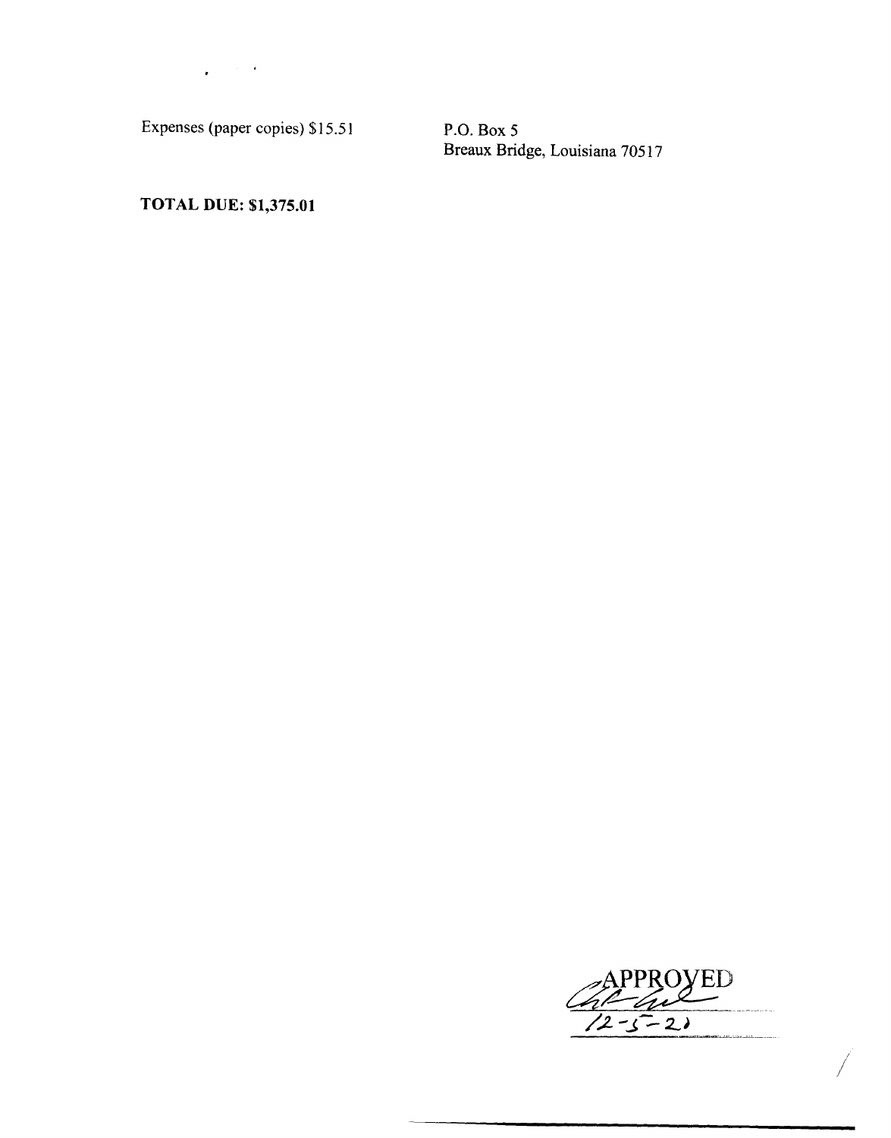Expenses (paper copies) \$15.51

 $\mathbf{z}^{(n)}$  and  $\mathbf{z}^{(n)}$  and  $\mathbf{z}^{(n)}$ 

P.O. Box  $5$ Breaux Bridge, Louisiana 70517

**TOTAL DUE: \$1,375.01** 

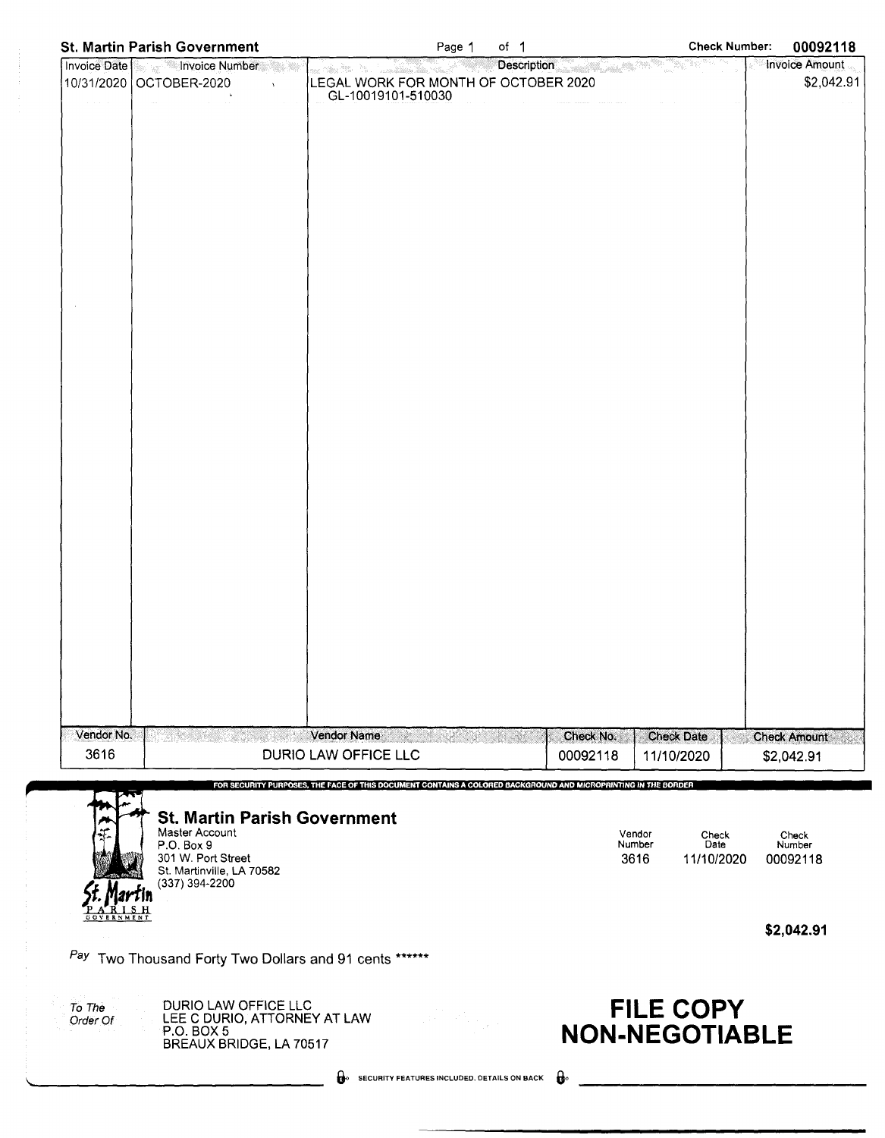|                    | <b>St. Martin Parish Government</b>                    |                                                                                                                | Page 1 | of $1$             |                       |                   | <b>Check Number:</b> | 00092118              |
|--------------------|--------------------------------------------------------|----------------------------------------------------------------------------------------------------------------|--------|--------------------|-----------------------|-------------------|----------------------|-----------------------|
|                    | Invoice Date   <b>Marshall</b> Invoice Number          | 50 - Gulimaalaa jareeg                                                                                         |        | <b>Description</b> |                       |                   |                      | <b>Invoice Amount</b> |
| 10/31/2020         | OCTOBER-2020<br>$\Lambda$                              | LEGAL WORK FOR MONTH OF OCTOBER 2020                                                                           |        |                    |                       |                   |                      | \$2,042.91            |
|                    | an al                                                  | GL-10019101-510030                                                                                             |        |                    |                       |                   |                      |                       |
|                    |                                                        |                                                                                                                |        |                    |                       |                   |                      |                       |
|                    |                                                        |                                                                                                                |        |                    |                       |                   |                      |                       |
|                    |                                                        |                                                                                                                |        |                    |                       |                   |                      |                       |
|                    |                                                        |                                                                                                                |        |                    |                       |                   |                      |                       |
|                    |                                                        |                                                                                                                |        |                    |                       |                   |                      |                       |
|                    |                                                        |                                                                                                                |        |                    |                       |                   |                      |                       |
|                    |                                                        |                                                                                                                |        |                    |                       |                   |                      |                       |
|                    |                                                        |                                                                                                                |        |                    |                       |                   |                      |                       |
|                    |                                                        |                                                                                                                |        |                    |                       |                   |                      |                       |
|                    |                                                        |                                                                                                                |        |                    |                       |                   |                      |                       |
|                    |                                                        |                                                                                                                |        |                    |                       |                   |                      |                       |
|                    |                                                        |                                                                                                                |        |                    |                       |                   |                      |                       |
|                    |                                                        |                                                                                                                |        |                    |                       |                   |                      |                       |
|                    |                                                        |                                                                                                                |        |                    |                       |                   |                      |                       |
|                    |                                                        |                                                                                                                |        |                    |                       |                   |                      |                       |
|                    |                                                        |                                                                                                                |        |                    |                       |                   |                      |                       |
|                    |                                                        |                                                                                                                |        |                    |                       |                   |                      |                       |
|                    |                                                        |                                                                                                                |        |                    |                       |                   |                      |                       |
|                    |                                                        |                                                                                                                |        |                    |                       |                   |                      |                       |
|                    |                                                        |                                                                                                                |        |                    |                       |                   |                      |                       |
|                    |                                                        |                                                                                                                |        |                    |                       |                   |                      |                       |
|                    |                                                        |                                                                                                                |        |                    |                       |                   |                      |                       |
|                    |                                                        |                                                                                                                |        |                    |                       |                   |                      |                       |
|                    |                                                        |                                                                                                                |        |                    |                       |                   |                      |                       |
|                    |                                                        |                                                                                                                |        |                    |                       |                   |                      |                       |
|                    |                                                        |                                                                                                                |        |                    |                       |                   |                      |                       |
|                    |                                                        |                                                                                                                |        |                    |                       |                   |                      |                       |
|                    |                                                        |                                                                                                                |        |                    |                       |                   |                      |                       |
|                    |                                                        |                                                                                                                |        |                    |                       |                   |                      |                       |
|                    |                                                        |                                                                                                                |        |                    |                       |                   |                      |                       |
|                    |                                                        |                                                                                                                |        |                    |                       |                   |                      |                       |
|                    |                                                        |                                                                                                                |        |                    |                       |                   |                      |                       |
|                    |                                                        |                                                                                                                |        |                    |                       |                   |                      |                       |
|                    |                                                        |                                                                                                                |        |                    |                       |                   |                      |                       |
|                    |                                                        |                                                                                                                |        |                    |                       |                   |                      |                       |
| Vendor No.         |                                                        | Vendor Name                                                                                                    |        |                    | Check No.             | <b>Check Date</b> |                      | <b>Check Amount</b>   |
| 3616               |                                                        | DURIO LAW OFFICE LLC                                                                                           |        |                    | 00092118              | 11/10/2020        |                      | \$2,042.91            |
|                    |                                                        | FOR SECURITY PURPOSES, THE FACE OF THIS DOCUMENT CONTAINS A COLORED BACKGROUND AND MICROPRINTING IN THE BORDER |        |                    |                       |                   |                      |                       |
|                    |                                                        |                                                                                                                |        |                    |                       |                   |                      |                       |
|                    | <b>St. Martin Parish Government</b>                    |                                                                                                                |        |                    |                       |                   |                      |                       |
|                    | Master Account                                         |                                                                                                                |        |                    | Vendor                |                   | Check                | Check                 |
|                    | P.O. Box 9<br>301 W. Port Street                       |                                                                                                                |        |                    | Number<br>3616        | 11/10/2020        | Date                 | Number<br>00092118    |
|                    | St. Martinville, LA 70582                              |                                                                                                                |        |                    |                       |                   |                      |                       |
|                    | (337) 394-2200                                         |                                                                                                                |        |                    |                       |                   |                      |                       |
|                    |                                                        |                                                                                                                |        |                    |                       |                   |                      |                       |
|                    |                                                        |                                                                                                                |        |                    |                       |                   |                      | \$2,042.91            |
|                    |                                                        |                                                                                                                |        |                    |                       |                   |                      |                       |
|                    | Pay Two Thousand Forty Two Dollars and 91 cents ****** |                                                                                                                |        |                    |                       |                   |                      |                       |
|                    |                                                        |                                                                                                                |        |                    |                       |                   |                      |                       |
|                    | DURIO LAW OFFICE LLC                                   |                                                                                                                |        |                    |                       |                   |                      |                       |
| To The<br>Order Of | LEE C DURIO, ATTORNEY AT LAW                           |                                                                                                                |        |                    |                       | <b>FILE COPY</b>  |                      |                       |
|                    | P.O. BOX 5                                             |                                                                                                                |        |                    | <b>NON-NEGOTIABLE</b> |                   |                      |                       |
|                    | BREAUX BRIDGE, LA 70517                                |                                                                                                                |        |                    |                       |                   |                      |                       |
|                    |                                                        | SECURITY FEATURES INCLUDED. DETAILS ON BACK                                                                    |        |                    | $\mathbf{e}$          |                   |                      |                       |
|                    |                                                        |                                                                                                                |        |                    |                       |                   |                      |                       |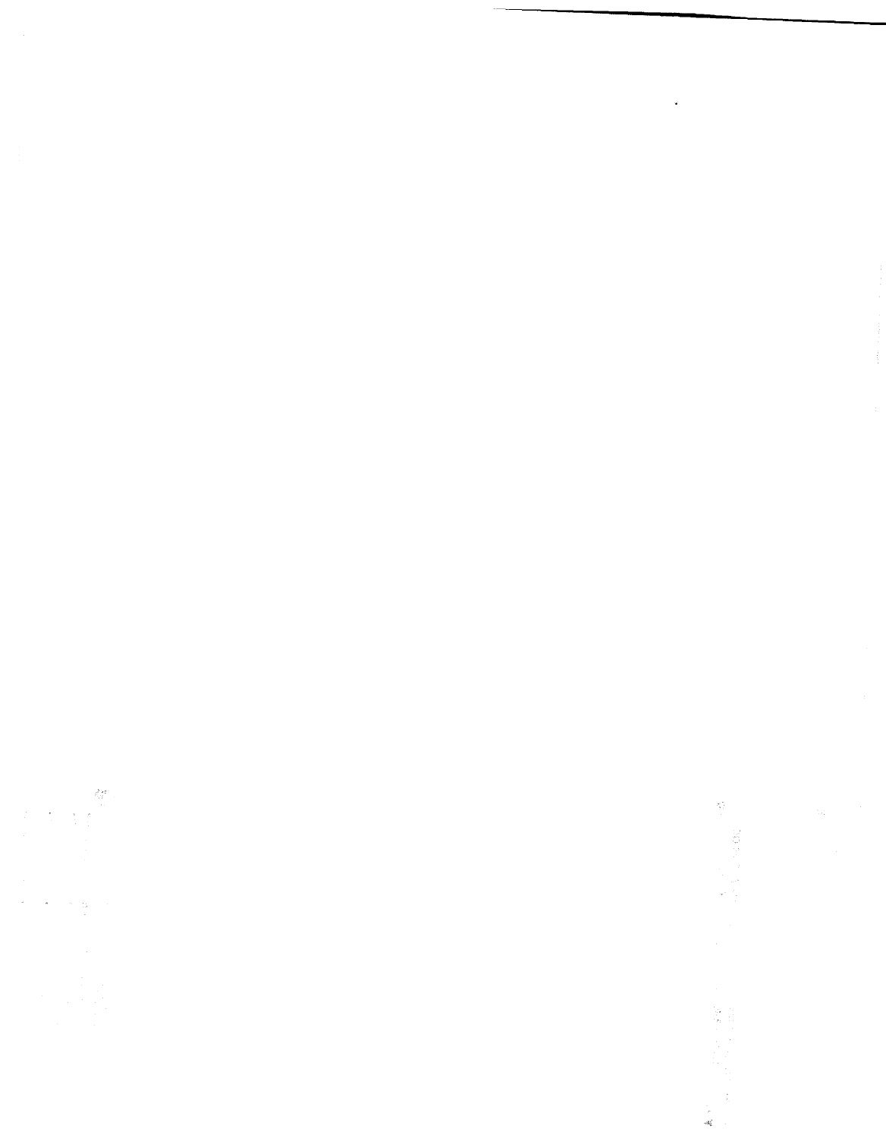$\ddot{\phantom{a}}$  $\label{eq:2.1} \begin{array}{c} \mathcal{F}_{\mathcal{G}} \\ \mathcal{F}_{\mathcal{G}} \\ \mathcal{G}_{\mathcal{G}} \end{array}$  $\hat{\mathbf{a}}$ 

 $\frac{d\phi}{d\phi} = \frac{1}{2\pi}\frac{1}{2\pi}\frac{d\phi}{d\phi} = \frac{1}{2\pi}\frac{d\phi}{d\phi} = \frac{1}{2\pi}\frac{d\phi}{d\phi} = \frac{1}{2\pi}\frac{d\phi}{d\phi} = \frac{1}{2\pi}\frac{d\phi}{d\phi} = \frac{1}{2\pi}\frac{d\phi}{d\phi} = \frac{1}{2\pi}\frac{d\phi}{d\phi} = \frac{1}{2\pi}\frac{d\phi}{d\phi} = \frac{1}{2\pi}\frac{d\phi}{d\phi} = \frac{1}{2\pi}\frac{d\phi}{d\phi} =$ 

 $\frac{1}{2} \sum_{i=1}^{n} \frac{1}{2} \sum_{j=1}^{n} \frac{1}{2} \sum_{j=1}^{n} \frac{1}{2} \sum_{j=1}^{n} \frac{1}{2} \sum_{j=1}^{n} \frac{1}{2} \sum_{j=1}^{n} \frac{1}{2} \sum_{j=1}^{n} \frac{1}{2} \sum_{j=1}^{n} \frac{1}{2} \sum_{j=1}^{n} \frac{1}{2} \sum_{j=1}^{n} \frac{1}{2} \sum_{j=1}^{n} \frac{1}{2} \sum_{j=1}^{n} \frac{1}{2} \sum_{j=1}^{n$ 

 $\mathbf{v}^{(i)}$  .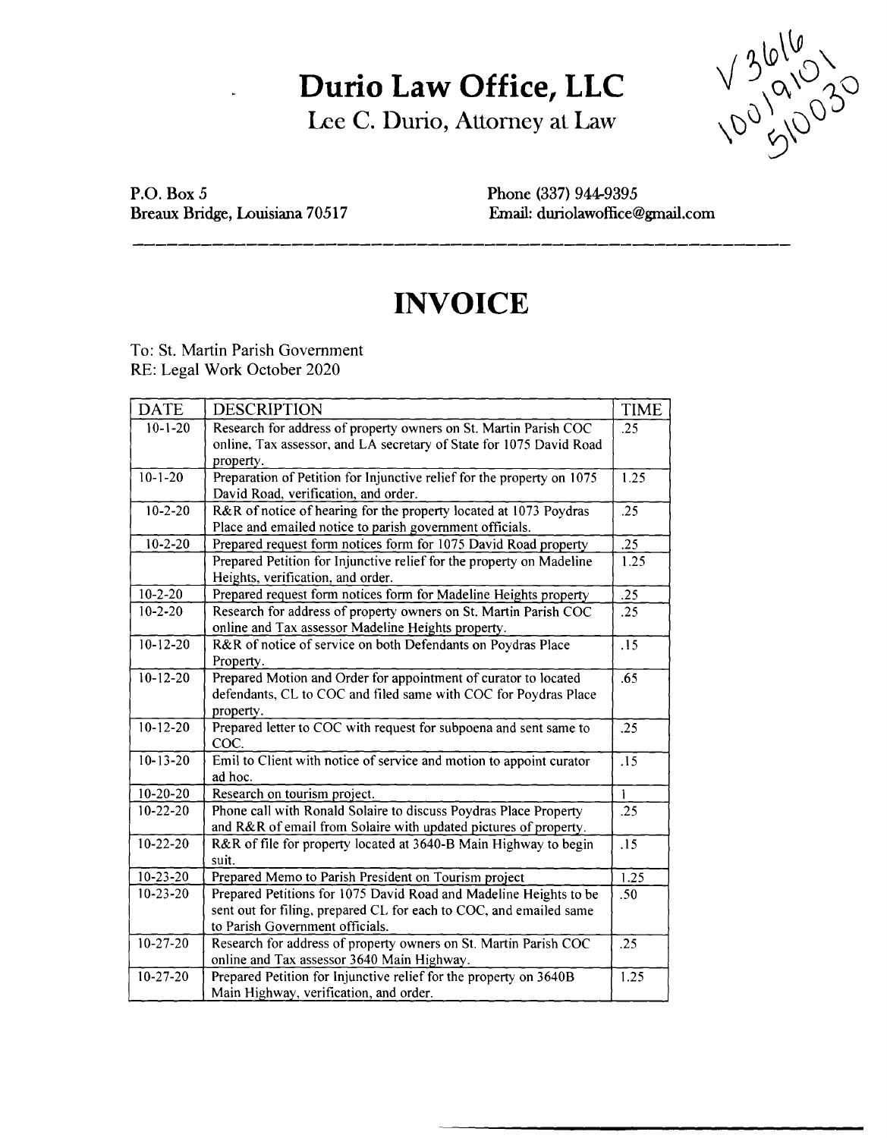Lee C. Durio, Attorney at Law



P.O. Box 5<br>Breaux Bridge, Louisiana 70517

Phone (337) 944-9395 Email: duriolawoffice@gmail.com

#### **INVOICE**

To: St. Martin Parish Government RE: Legal Work October 2020

| <b>DATE</b>    | <b>DESCRIPTION</b>                                                                                                                                                         | <b>TIME</b>       |
|----------------|----------------------------------------------------------------------------------------------------------------------------------------------------------------------------|-------------------|
| $10 - 1 - 20$  | Research for address of property owners on St. Martin Parish COC                                                                                                           | .25               |
|                | online, Tax assessor, and LA secretary of State for 1075 David Road                                                                                                        |                   |
|                | property.                                                                                                                                                                  |                   |
| $10 - 1 - 20$  | Preparation of Petition for Injunctive relief for the property on 1075<br>David Road, verification, and order.                                                             | 1.25              |
| $10 - 2 - 20$  | R&R of notice of hearing for the property located at 1073 Poydras<br>Place and emailed notice to parish government officials.                                              | .25               |
| $10 - 2 - 20$  | Prepared request form notices form for 1075 David Road property                                                                                                            | .25               |
|                | Prepared Petition for Injunctive relief for the property on Madeline<br>Heights, verification, and order.                                                                  | 1.25              |
| $10 - 2 - 20$  | Prepared request form notices form for Madeline Heights property                                                                                                           | .25               |
| $10 - 2 - 20$  | Research for address of property owners on St. Martin Parish COC<br>online and Tax assessor Madeline Heights property.                                                     | $\overline{.25}$  |
| $10 - 12 - 20$ | R&R of notice of service on both Defendants on Poydras Place<br>Property.                                                                                                  | $\overline{.15}$  |
| $10 - 12 - 20$ | Prepared Motion and Order for appointment of curator to located<br>defendants, CL to COC and filed same with COC for Poydras Place<br>property.                            | .65               |
| $10-12-20$     | Prepared letter to COC with request for subpoena and sent same to<br>COC.                                                                                                  | .25               |
| $10 - 13 - 20$ | Emil to Client with notice of service and motion to appoint curator<br>ad hoc.                                                                                             | .15               |
| $10-20-20$     | Research on tourism project.                                                                                                                                               | $\mathbf{1}$      |
| $10-22-20$     | Phone call with Ronald Solaire to discuss Poydras Place Property<br>and R&R of email from Solaire with updated pictures of property.                                       | .25               |
| $10 - 22 - 20$ | R&R of file for property located at 3640-B Main Highway to begin<br>suit.                                                                                                  | .15               |
| $10 - 23 - 20$ | Prepared Memo to Parish President on Tourism project                                                                                                                       | 1.25              |
| $10 - 23 - 20$ | Prepared Petitions for 1075 David Road and Madeline Heights to be<br>sent out for filing, prepared CL for each to COC, and emailed same<br>to Parish Government officials. | .50               |
| $10-27-20$     | Research for address of property owners on St. Martin Parish COC<br>online and Tax assessor 3640 Main Highway.                                                             | $\overline{.25}$  |
| $10-27-20$     | Prepared Petition for Injunctive relief for the property on 3640B<br>Main Highway, verification, and order.                                                                | $\overline{1.25}$ |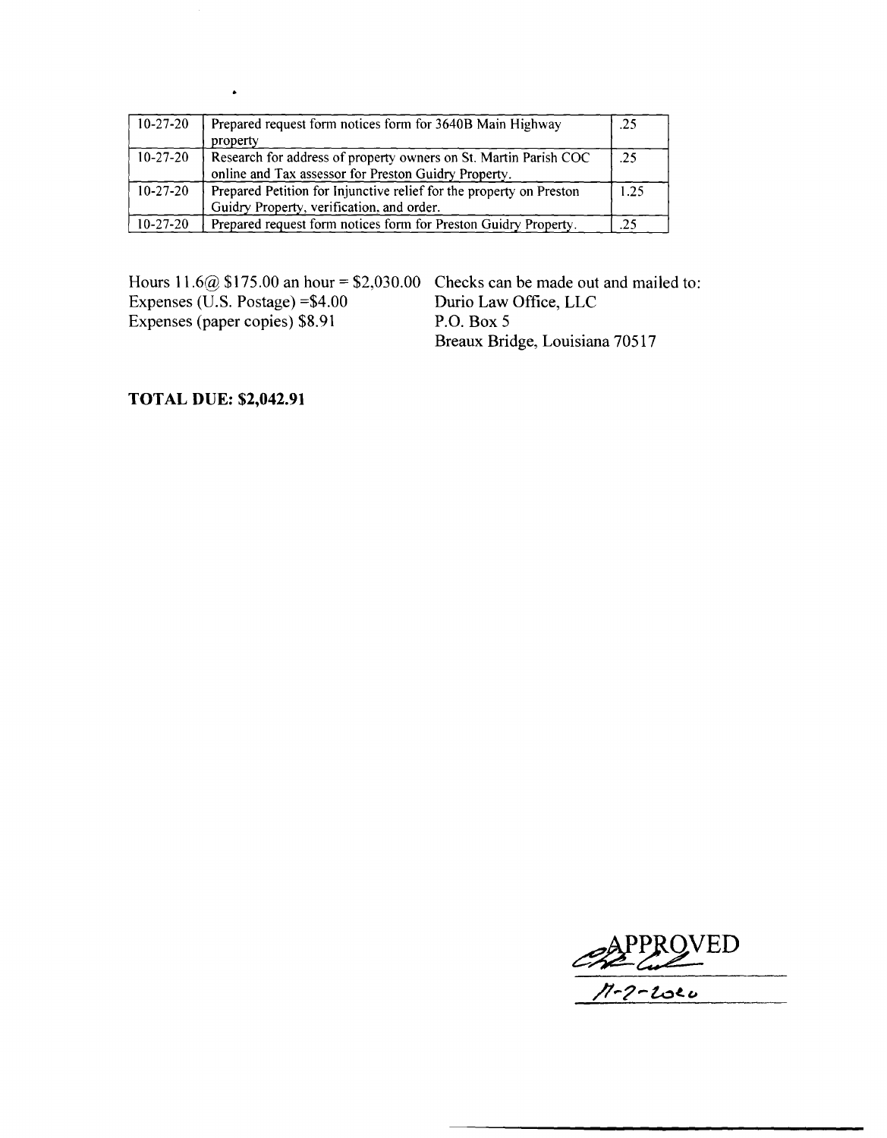| $10 - 27 - 20$ | Prepared request form notices form for 3640B Main Highway<br>property                                                    | .25  |
|----------------|--------------------------------------------------------------------------------------------------------------------------|------|
| $10 - 27 - 20$ | Research for address of property owners on St. Martin Parish COC<br>online and Tax assessor for Preston Guidry Property. | .25  |
| $10 - 27 - 20$ | Prepared Petition for Injunctive relief for the property on Preston<br>Guidry Property, verification, and order.         | 1.25 |
| $10-27-20$     | Prepared request form notices form for Preston Guidry Property.                                                          | .25  |

Hours  $11.6@$  \$175.00 an hour = \$2,030.00 Checks can be made out and mailed to: Expenses (U.S. Postage) =  $$4.00$ Expenses (paper copies) \$8.91

Durio Law Office, LLC P.O. Box 5 Breaux Bridge, Louisiana 70517

#### **TOT AL DUE: \$2,042.91**

 $\bullet$ 

APPROVED  $11 - 2 - 2020$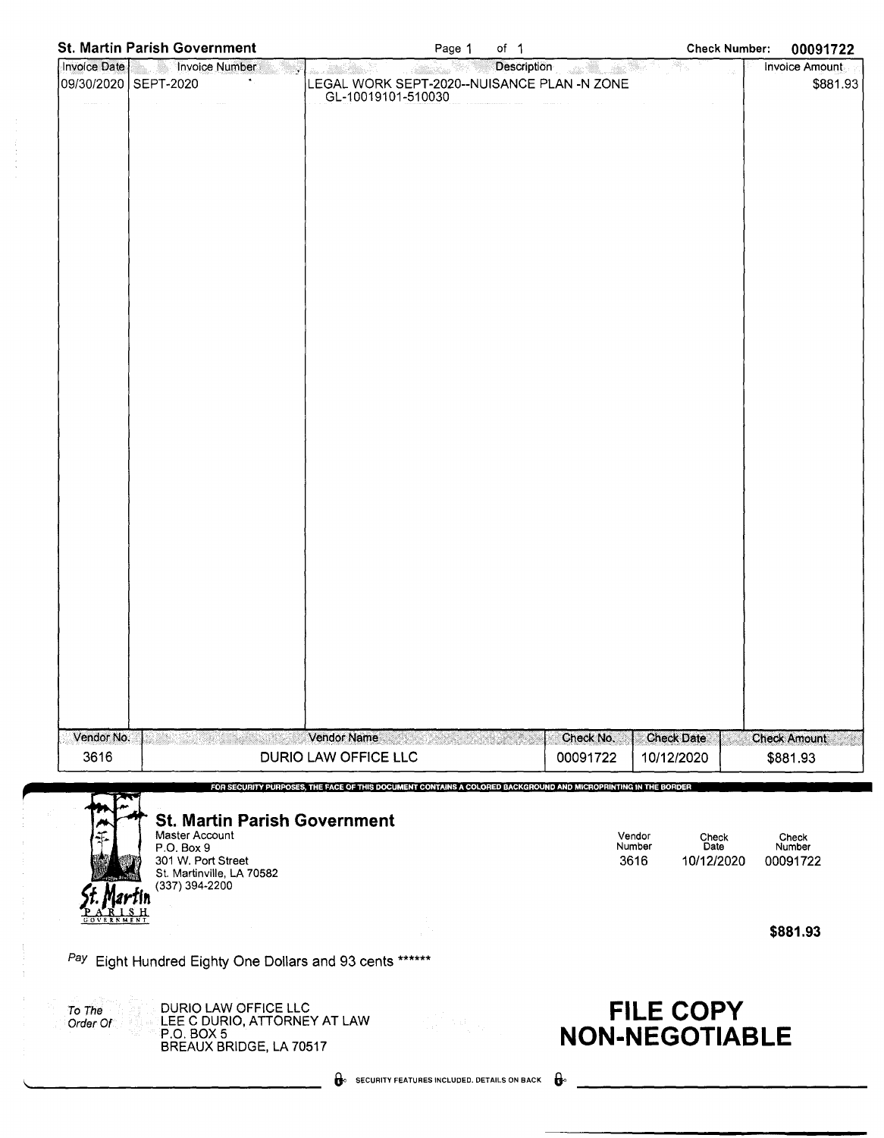| <b>St. Martin Parish Government</b>                                                               | Page 1<br>of $1$                                                                                                                                                                                                                                                                                                                                                                                                                                                                                                                                                                                                                                | <b>Check Number:</b><br>00091722                           |
|---------------------------------------------------------------------------------------------------|-------------------------------------------------------------------------------------------------------------------------------------------------------------------------------------------------------------------------------------------------------------------------------------------------------------------------------------------------------------------------------------------------------------------------------------------------------------------------------------------------------------------------------------------------------------------------------------------------------------------------------------------------|------------------------------------------------------------|
| Invoice Date   Invoice Number<br>- 50<br>09/30/2020 SEPT-2020<br>$\sim 10^{-10}$                  | <b>Description</b><br>an a shi badan a shekarar 1979. A shekarar 1979<br>J.<br>LEGAL WORK SEPT-2020--NUISANCE PLAN -N ZONE<br>GL-10019101-510030<br>$\label{eq:1} \mathcal{L} = \mathcal{L} \left( \mathcal{L} \right) \mathcal{L} \left( \mathcal{L} \right) \mathcal{L} \left( \mathcal{L} \right) \mathcal{L} \left( \mathcal{L} \right) \mathcal{L} \left( \mathcal{L} \right) \mathcal{L} \left( \mathcal{L} \right) \mathcal{L} \left( \mathcal{L} \right) \mathcal{L} \left( \mathcal{L} \right) \mathcal{L} \left( \mathcal{L} \right) \mathcal{L} \left( \mathcal{L} \right) \mathcal{L} \left( \mathcal{L} \right) \mathcal{L} \left$ | Invoice Amount<br>in.<br>\$881.93                          |
|                                                                                                   |                                                                                                                                                                                                                                                                                                                                                                                                                                                                                                                                                                                                                                                 |                                                            |
|                                                                                                   |                                                                                                                                                                                                                                                                                                                                                                                                                                                                                                                                                                                                                                                 |                                                            |
|                                                                                                   |                                                                                                                                                                                                                                                                                                                                                                                                                                                                                                                                                                                                                                                 |                                                            |
|                                                                                                   |                                                                                                                                                                                                                                                                                                                                                                                                                                                                                                                                                                                                                                                 |                                                            |
|                                                                                                   |                                                                                                                                                                                                                                                                                                                                                                                                                                                                                                                                                                                                                                                 |                                                            |
|                                                                                                   |                                                                                                                                                                                                                                                                                                                                                                                                                                                                                                                                                                                                                                                 |                                                            |
|                                                                                                   |                                                                                                                                                                                                                                                                                                                                                                                                                                                                                                                                                                                                                                                 |                                                            |
|                                                                                                   |                                                                                                                                                                                                                                                                                                                                                                                                                                                                                                                                                                                                                                                 |                                                            |
|                                                                                                   |                                                                                                                                                                                                                                                                                                                                                                                                                                                                                                                                                                                                                                                 |                                                            |
|                                                                                                   |                                                                                                                                                                                                                                                                                                                                                                                                                                                                                                                                                                                                                                                 |                                                            |
|                                                                                                   |                                                                                                                                                                                                                                                                                                                                                                                                                                                                                                                                                                                                                                                 |                                                            |
|                                                                                                   |                                                                                                                                                                                                                                                                                                                                                                                                                                                                                                                                                                                                                                                 |                                                            |
|                                                                                                   |                                                                                                                                                                                                                                                                                                                                                                                                                                                                                                                                                                                                                                                 |                                                            |
| Vendor No.                                                                                        | Vendor Name<br>Check No.                                                                                                                                                                                                                                                                                                                                                                                                                                                                                                                                                                                                                        | <b>Check Date</b><br><b>Check Amount</b>                   |
| 3616                                                                                              | DURIO LAW OFFICE LLC<br>00091722                                                                                                                                                                                                                                                                                                                                                                                                                                                                                                                                                                                                                | \$881.93<br>10/12/2020                                     |
| <b>St. Martin Parish Government</b>                                                               | FOR SECURITY PURPOSES, THE FACE OF THIS DOCUMENT CONTAINS A COLORED BACKGROUND AND MICROPRINTING IN THE BORDER                                                                                                                                                                                                                                                                                                                                                                                                                                                                                                                                  |                                                            |
| Master Account<br>P.O. Box 9<br>301 W. Port Street<br>St. Martinville, LA 70582<br>(337) 394-2200 | Vendor<br>Number<br>3616                                                                                                                                                                                                                                                                                                                                                                                                                                                                                                                                                                                                                        | Check<br>Check<br>Number<br>Date<br>10/12/2020<br>00091722 |

\$881.93

Pay Eight Hundred Eighty One Dollars and 93 cents \*\*\*\*\*\*

To The Order Of DURIO LAW OFFICE LLC<br>LEE C DURIO, ATTORNEY AT LAW<br>P.O. BOX 5<br>BREAUX BRIDGE, LA 70517

# FILE COPY<br>NON-NEGOTIABLE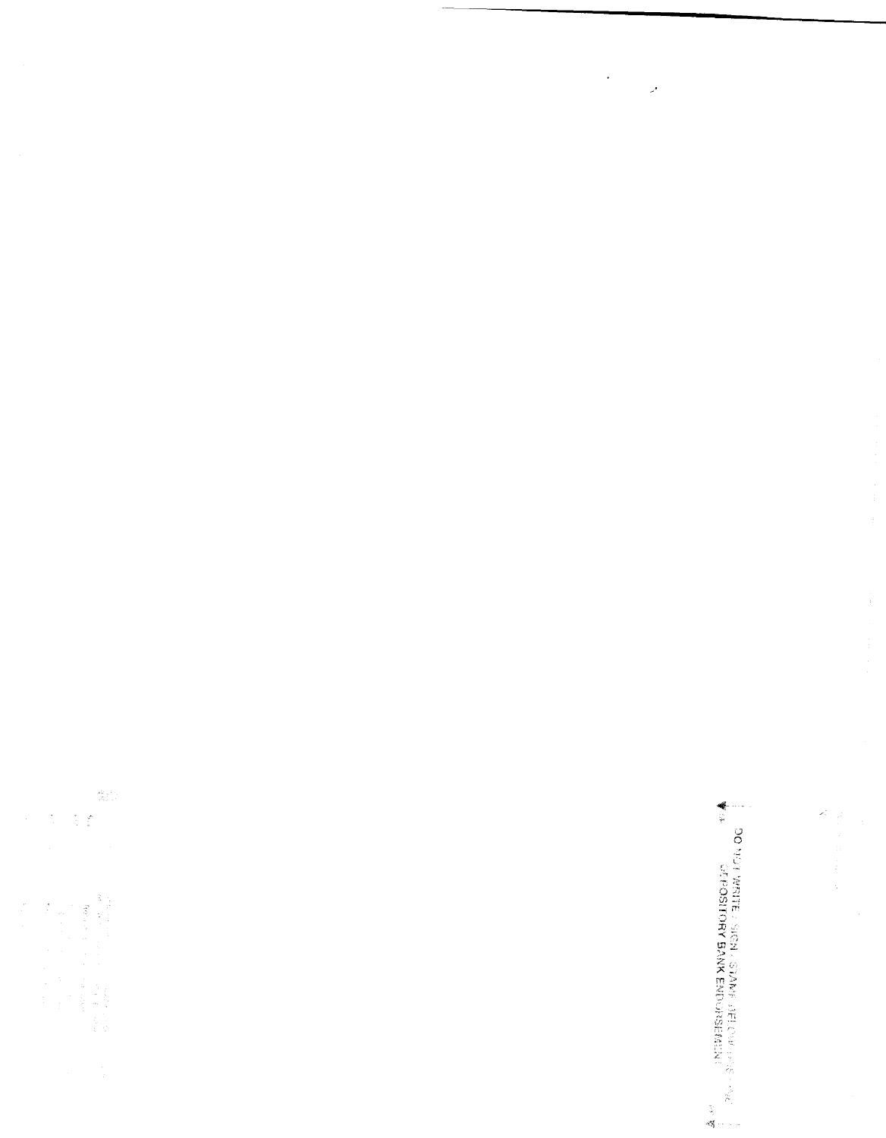$\frac{1}{2} \frac{d}{dt}$  $\frac{1}{2}$ 

 $\cdot$ 

 $\frac{\partial^2 y^2}{\partial x^2}$ 

**WE DO NOT METHE / SIGN / STAMP DELCAN - PARTY : 1988**<br>WE SEPOSITORY BANK ENDORSEMENT : 1988<br>WE SEPOSITORY BANK ENDORSEMENT : 1988

 $\ddot{\phantom{0}}$ 

 $\mathcal{L}$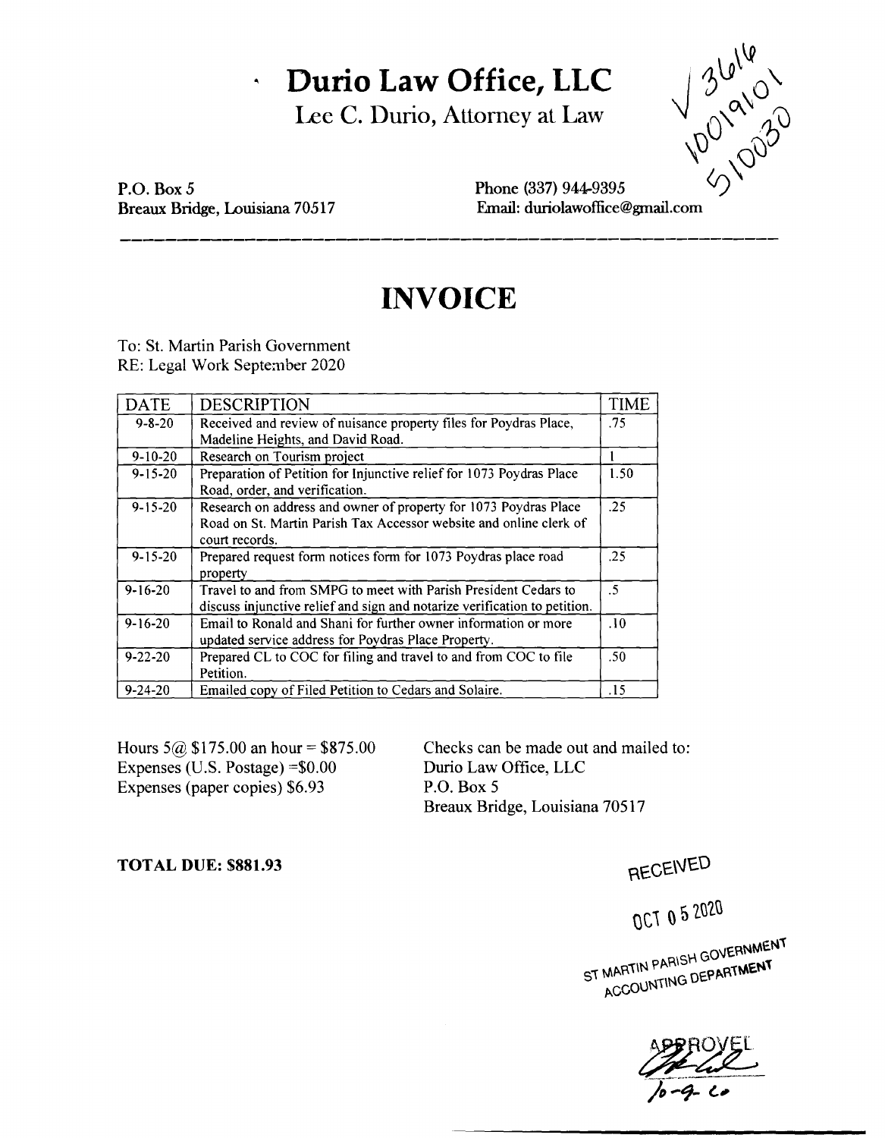Lee C. Durio, Attorney at Law



 $\hat{\mathbf{A}}$ 

P.O. Box 5  $\bigcirc$  Phone (337) 944-9395  $\bigcirc$ Breaux Bridge, Louisiana 70517 Email: duriolawoffice@gmail.com

#### **INVOICE**

To: St. Martin Parish Government RE: Legal Work September 2020

| <b>DATE</b>   | <b>DESCRIPTION</b>                                                        | <b>TIME</b>     |
|---------------|---------------------------------------------------------------------------|-----------------|
| $9 - 8 - 20$  | Received and review of nuisance property files for Poydras Place,         | .75             |
|               | Madeline Heights, and David Road.                                         |                 |
| $9 - 10 - 20$ | Research on Tourism project                                               |                 |
| $9 - 15 - 20$ | Preparation of Petition for Injunctive relief for 1073 Poydras Place      | 1.50            |
|               | Road, order, and verification.                                            |                 |
| $9 - 15 - 20$ | Research on address and owner of property for 1073 Poydras Place          | .25             |
|               | Road on St. Martin Parish Tax Accessor website and online clerk of        |                 |
|               | court records.                                                            |                 |
| $9 - 15 - 20$ | Prepared request form notices form for 1073 Poydras place road            | .25             |
|               | property                                                                  |                 |
| $9 - 16 - 20$ | Travel to and from SMPG to meet with Parish President Cedars to           | $\overline{.5}$ |
|               | discuss injunctive relief and sign and notarize verification to petition. |                 |
| $9 - 16 - 20$ | Email to Ronald and Shani for further owner information or more           | .10             |
|               | updated service address for Poydras Place Property.                       |                 |
| $9 - 22 - 20$ | Prepared CL to COC for filing and travel to and from COC to file          | .50             |
|               | Petition.                                                                 |                 |
| $9 - 24 - 20$ | Emailed copy of Filed Petition to Cedars and Solaire.                     | .15             |

Hours  $5\omega$  \$175.00 an hour = \$875.00 Expenses (U.S. Postage) =\$0.00 Expenses (paper copies) \$6.93

Checks can be made out and mailed to: Durio Law Office, LLC P.O. Box 5 Breaux Bridge, Louisiana 70517

**TOTAL DUE: \$881.93** 

RECEIVED

OCT 0 5 2020

ST MARTIN PARISH GOVERNMENT MARTIN PARISH GOVENING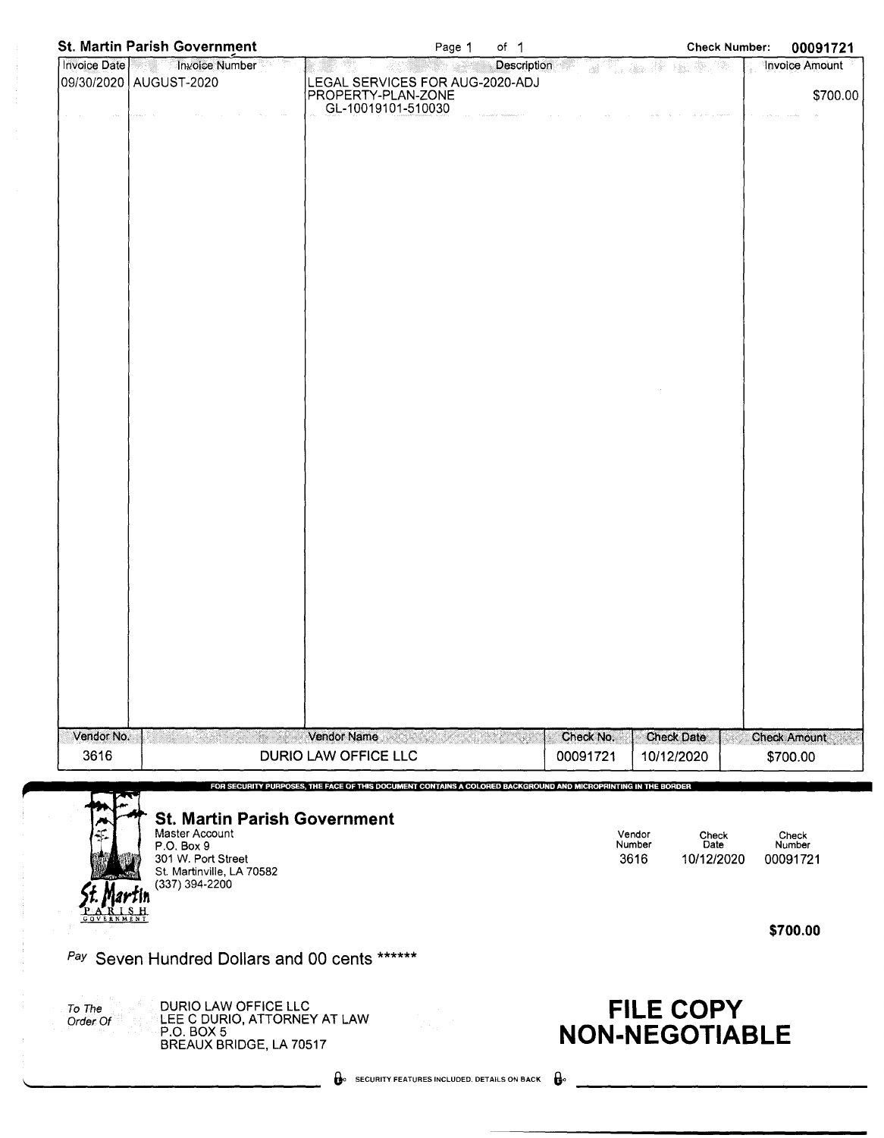|              | <b>St. Martin Parish Government</b>           | Page 1                                                                                                         | of 1               | <b>Check Number:</b>                 | 00091721            |
|--------------|-----------------------------------------------|----------------------------------------------------------------------------------------------------------------|--------------------|--------------------------------------|---------------------|
| Invoice Date | <b>Invoice Number</b><br>ra a                 |                                                                                                                | <b>Description</b> | i Milita a Post (n.                  | Invoice Amount      |
|              | 09/30/2020 AUGUST-2020                        | LEGAL SERVICES FOR AUG-2020-ADJ                                                                                |                    |                                      |                     |
|              |                                               | PROPERTY-PLAN-ZONE                                                                                             |                    |                                      | \$700.00            |
|              |                                               | GL-10019101-510030                                                                                             |                    |                                      |                     |
|              |                                               |                                                                                                                |                    |                                      |                     |
|              |                                               |                                                                                                                |                    |                                      |                     |
|              |                                               |                                                                                                                |                    |                                      |                     |
|              |                                               |                                                                                                                |                    |                                      |                     |
|              |                                               |                                                                                                                |                    |                                      |                     |
|              |                                               |                                                                                                                |                    |                                      |                     |
|              |                                               |                                                                                                                |                    |                                      |                     |
|              |                                               |                                                                                                                |                    |                                      |                     |
|              |                                               |                                                                                                                |                    |                                      |                     |
|              |                                               |                                                                                                                |                    |                                      |                     |
|              |                                               |                                                                                                                |                    |                                      |                     |
|              |                                               |                                                                                                                |                    |                                      |                     |
|              |                                               |                                                                                                                |                    |                                      |                     |
|              |                                               |                                                                                                                |                    |                                      |                     |
|              |                                               |                                                                                                                |                    |                                      |                     |
|              |                                               |                                                                                                                |                    |                                      |                     |
|              |                                               |                                                                                                                |                    |                                      |                     |
|              |                                               |                                                                                                                |                    |                                      |                     |
|              |                                               |                                                                                                                |                    |                                      |                     |
|              |                                               |                                                                                                                |                    |                                      |                     |
|              |                                               |                                                                                                                |                    |                                      |                     |
|              |                                               |                                                                                                                |                    |                                      |                     |
|              |                                               |                                                                                                                |                    |                                      |                     |
|              |                                               |                                                                                                                |                    |                                      |                     |
|              |                                               |                                                                                                                |                    |                                      |                     |
|              |                                               |                                                                                                                |                    |                                      |                     |
|              |                                               |                                                                                                                |                    |                                      |                     |
|              |                                               |                                                                                                                |                    |                                      |                     |
|              |                                               |                                                                                                                |                    |                                      |                     |
|              |                                               |                                                                                                                |                    |                                      |                     |
|              |                                               |                                                                                                                |                    |                                      |                     |
|              |                                               |                                                                                                                |                    |                                      |                     |
|              |                                               |                                                                                                                |                    |                                      |                     |
|              |                                               |                                                                                                                |                    |                                      |                     |
|              |                                               |                                                                                                                |                    |                                      |                     |
| Vendor No.   |                                               | Vendor Name New State Company                                                                                  |                    | Check No.<br><b>Check Date</b>       | <b>Check Amount</b> |
| 3616         |                                               |                                                                                                                |                    |                                      |                     |
|              |                                               | DURIO LAW OFFICE LLC                                                                                           |                    | 00091721<br>10/12/2020               | \$700.00            |
|              |                                               | FOR SECURITY PURPOSES, THE FACE OF THIS DOCUMENT CONTAINS A COLORED BACKGROUND AND MICROPRINTING IN THE BORDER |                    |                                      |                     |
|              |                                               |                                                                                                                |                    |                                      |                     |
|              | <b>St. Martin Parish Government</b>           |                                                                                                                |                    |                                      |                     |
|              | Master Account                                |                                                                                                                |                    | Vendor<br>Check                      | Check<br>Number     |
|              | P.O. Box 9<br>301 W. Port Street              |                                                                                                                |                    | Number<br>Date<br>3616<br>10/12/2020 | 00091721            |
|              | St. Martinville, LA 70582                     |                                                                                                                |                    |                                      |                     |
|              | (337) 394-2200                                |                                                                                                                |                    |                                      |                     |
|              |                                               |                                                                                                                |                    |                                      |                     |
|              |                                               |                                                                                                                |                    |                                      |                     |
|              |                                               |                                                                                                                |                    |                                      | \$700.00            |
|              | Pay Seven Hundred Dollars and 00 cents ****** |                                                                                                                |                    |                                      |                     |
|              |                                               |                                                                                                                |                    |                                      |                     |
|              |                                               |                                                                                                                |                    |                                      |                     |
| To The       | DURIO LAW OFFICE LLC                          |                                                                                                                |                    | <b>FILE COPY</b>                     |                     |
| Order Of     | LEE C DURIO, ATTORNEY AT LAW<br>P.O. BOX 5    |                                                                                                                |                    |                                      |                     |
|              | BREAUX BRIDGE, LA 70517                       |                                                                                                                |                    | <b>NON-NEGOTIABLE</b>                |                     |
|              |                                               |                                                                                                                |                    |                                      |                     |
|              |                                               |                                                                                                                |                    |                                      |                     |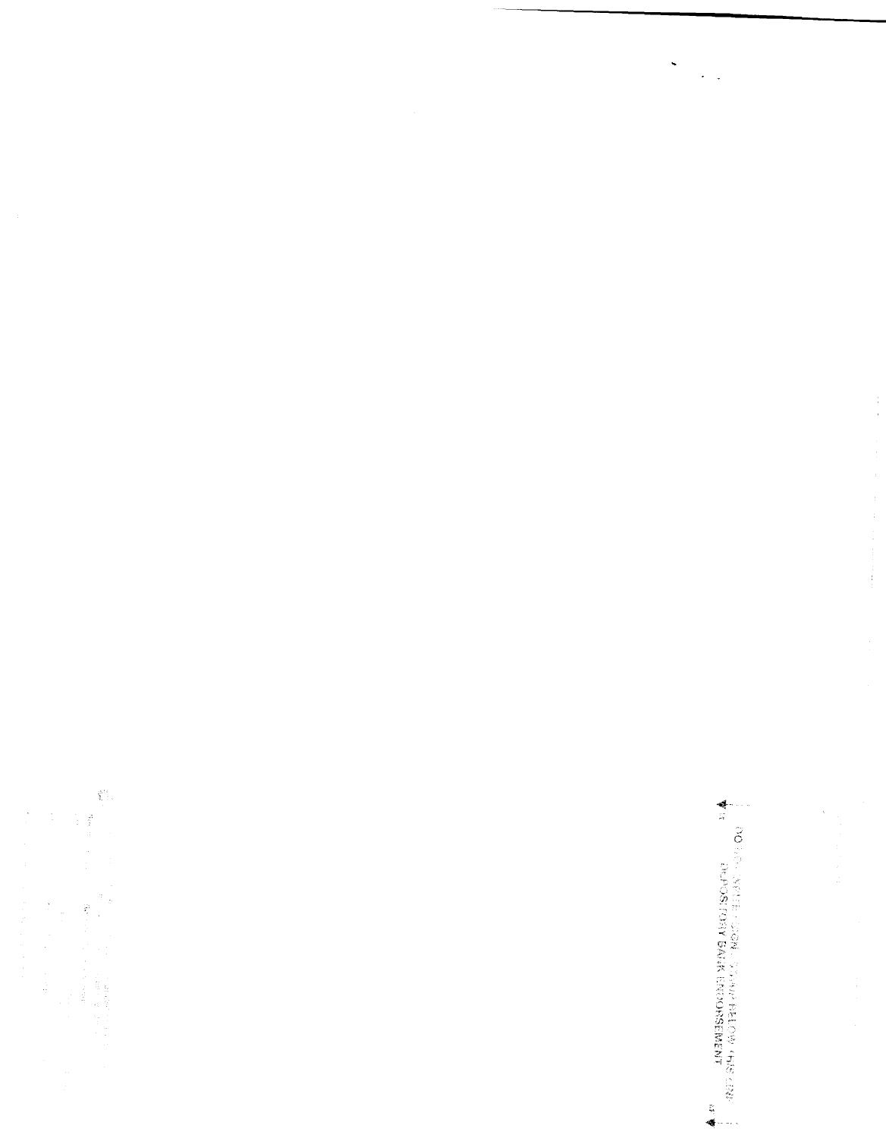$\overline{\mathcal{E}}$  $\bar{\mathbb{Z}}$  $\sim$  10  $\mu$ Ĵ. J.

 $\hat{\xi}^{\mu}_{\mu}$ 

 $\begin{array}{ll} \big\{\quad \ \ \, \text{or} \; \; \text{isom} \; \; \text{isom} \; \; \text{isom} \; \; \text{isom} \; \; \text{isom} \; \; \text{isom} \; \; \text{isom} \; \; \text{isom} \; \; \text{isom} \; \; \text{isom} \; \; \text{isom} \; \; \text{isom} \; \; \text{isom} \; \; \text{isom} \; \; \text{isom} \; \; \text{isom} \; \; \text{isom} \; \; \text{isom} \; \; \text{isom} \; \; \text{$ 

ĵ

ł.

 $\ddot{\phantom{0}}$ 

 $\frac{1}{\sqrt{2}}\int_{0}^{\sqrt{2}}\frac{1}{\sqrt{2}}\left( \frac{1}{2}\right) ^{2}d\mu$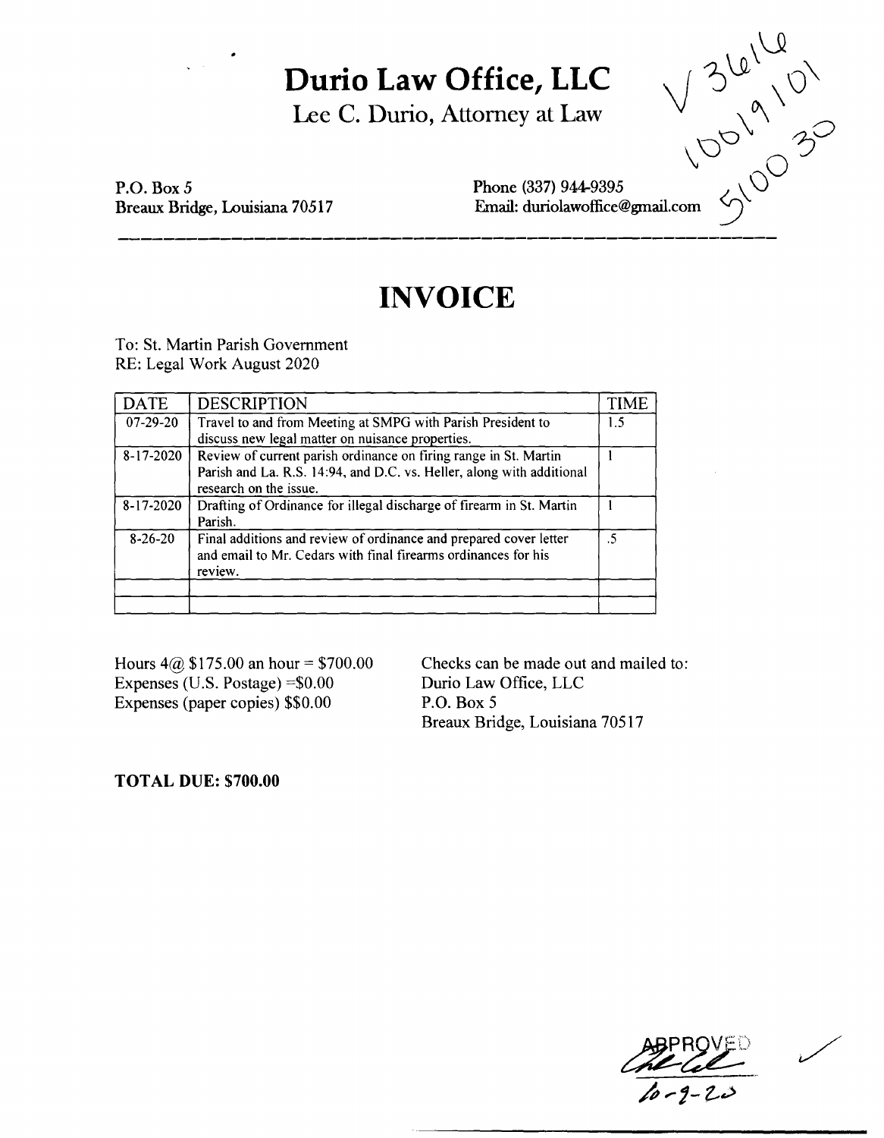## **Durio Law Office, LLC**  $\qquad \qquad \setminus (\overset{2}{\circ}^{\vee}, \circ)$

Lee C. Durio, Attorney at Law



P.O. Box5 Breaux Bridge, Louisiana 70517

Email: duriolawoffice@gmail.com

#### **INVOICE**

To: St. Martin Parish Government RE: Legal Work August 2020

| DATE        | <b>DESCRIPTION</b>                                                                                                                                                  | TIME    |
|-------------|---------------------------------------------------------------------------------------------------------------------------------------------------------------------|---------|
| $07-29-20$  | Travel to and from Meeting at SMPG with Parish President to<br>discuss new legal matter on nuisance properties.                                                     | 1.5     |
| $8-17-2020$ | Review of current parish ordinance on firing range in St. Martin<br>Parish and La. R.S. 14:94, and D.C. vs. Heller, along with additional<br>research on the issue. |         |
| 8-17-2020   | Drafting of Ordinance for illegal discharge of firearm in St. Martin<br>Parish.                                                                                     |         |
| $8-26-20$   | Final additions and review of ordinance and prepared cover letter<br>and email to Mr. Cedars with final firearms ordinances for his<br>review.                      | $\cdot$ |
|             |                                                                                                                                                                     |         |

Hours  $4\omega$ , \$175.00 an hour = \$700.00 Expenses (U.S. Postage) =\$0.00 Expenses (paper copies) \$\$0.00

Checks can be made out and mailed to: Durio Law Office, LLC P.O. Box 5 Breaux Bridge, Louisiana 70517

**TOTAL DUE: \$700.00** 

 $\mathscr{V}^{\text{ED}}$ *~,j-1-c>*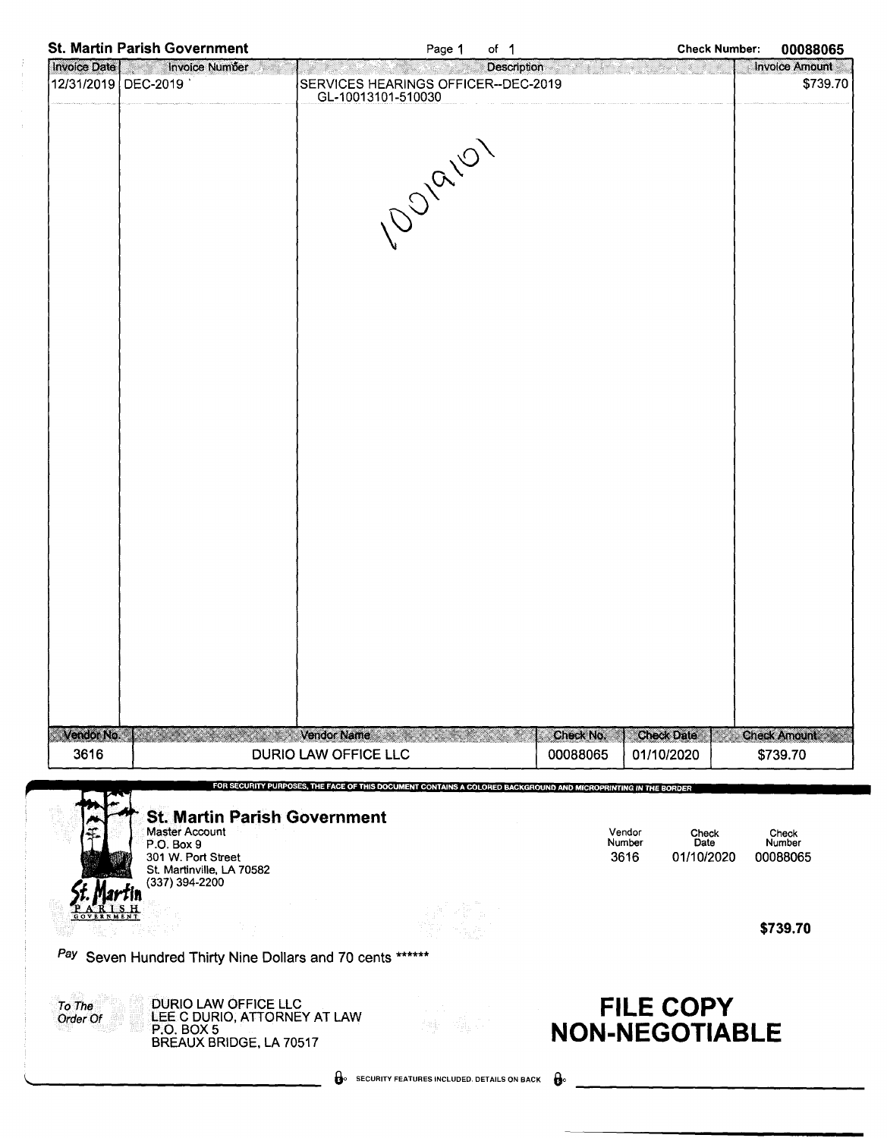|                    | <b>St. Martin Parish Government</b>                       |                                                                                                                | Page 1   | of $1$             |                       |                                                     | <b>Check Number:</b>        | 00088065                        |
|--------------------|-----------------------------------------------------------|----------------------------------------------------------------------------------------------------------------|----------|--------------------|-----------------------|-----------------------------------------------------|-----------------------------|---------------------------------|
| Invoice Date       | <b>Invoice Number</b><br>12/31/2019   DEC-2019 '          | SERVICES HEARINGS OFFICER--DEC-2019                                                                            |          | <b>Description</b> |                       | <u>a magaalada kale ka mid ah san san san sa ma</u> |                             | Invoice Amount<br>\$739.70      |
|                    |                                                           | GL-10013101-510030                                                                                             |          |                    |                       |                                                     |                             |                                 |
|                    |                                                           |                                                                                                                |          |                    |                       |                                                     |                             |                                 |
|                    |                                                           |                                                                                                                |          |                    |                       |                                                     |                             |                                 |
|                    |                                                           |                                                                                                                |          |                    |                       |                                                     |                             |                                 |
|                    |                                                           |                                                                                                                | 1001a101 |                    |                       |                                                     |                             |                                 |
|                    |                                                           |                                                                                                                |          |                    |                       |                                                     |                             |                                 |
|                    |                                                           |                                                                                                                |          |                    |                       |                                                     |                             |                                 |
|                    |                                                           |                                                                                                                |          |                    |                       |                                                     |                             |                                 |
|                    |                                                           |                                                                                                                |          |                    |                       |                                                     |                             |                                 |
|                    |                                                           |                                                                                                                |          |                    |                       |                                                     |                             |                                 |
|                    |                                                           |                                                                                                                |          |                    |                       |                                                     |                             |                                 |
|                    |                                                           |                                                                                                                |          |                    |                       |                                                     |                             |                                 |
|                    |                                                           |                                                                                                                |          |                    |                       |                                                     |                             |                                 |
|                    |                                                           |                                                                                                                |          |                    |                       |                                                     |                             |                                 |
|                    |                                                           |                                                                                                                |          |                    |                       |                                                     |                             |                                 |
|                    |                                                           |                                                                                                                |          |                    |                       |                                                     |                             |                                 |
|                    |                                                           |                                                                                                                |          |                    |                       |                                                     |                             |                                 |
|                    |                                                           |                                                                                                                |          |                    |                       |                                                     |                             |                                 |
|                    |                                                           |                                                                                                                |          |                    |                       |                                                     |                             |                                 |
| Vendor No.<br>3616 |                                                           | Vendor Name<br>DURIO LAW OFFICE LLC                                                                            |          |                    | Check No.<br>00088065 | <b>Check Date</b><br>01/10/2020                     |                             | <b>Check Amount</b><br>\$739.70 |
|                    |                                                           | FOR SECURITY PURPOSES, THE FACE OF THIS DOCUMENT CONTAINS A COLORED BACKGROUND AND MICROPRINTING IN THE BORDER |          |                    |                       |                                                     |                             |                                 |
|                    | <b>St. Martin Parish Government</b>                       |                                                                                                                |          |                    |                       |                                                     |                             |                                 |
|                    | Master Account<br>P.O. Box 9<br>301 W. Port Street        |                                                                                                                |          |                    |                       | Vendor<br>Number<br>3616                            | Check<br>Date<br>01/10/2020 | Check<br>Number<br>00088065     |
|                    | St. Martinville, LA 70582<br>(337) 394-2200               |                                                                                                                |          |                    |                       |                                                     |                             |                                 |
|                    |                                                           |                                                                                                                |          |                    |                       |                                                     |                             |                                 |
|                    | Pay Seven Hundred Thirty Nine Dollars and 70 cents ****** |                                                                                                                |          |                    |                       |                                                     |                             | \$739.70                        |
|                    |                                                           |                                                                                                                |          |                    |                       |                                                     |                             |                                 |
| To The<br>Order Of | DURIO LAW OFFICE LLC<br>LEE C DURIO, ATTORNEY AT LAW      |                                                                                                                |          |                    |                       | <b>FILE COPY</b>                                    |                             |                                 |
|                    | P.O. BOX 5<br>BREAUX BRIDGE, LA 70517                     |                                                                                                                |          |                    | <b>NON-NEGOTIABLE</b> |                                                     |                             |                                 |
|                    |                                                           | SECURITY FEATURES INCLUDED. DETAILS ON BACK                                                                    |          |                    | $\mathbf{a}$          |                                                     |                             |                                 |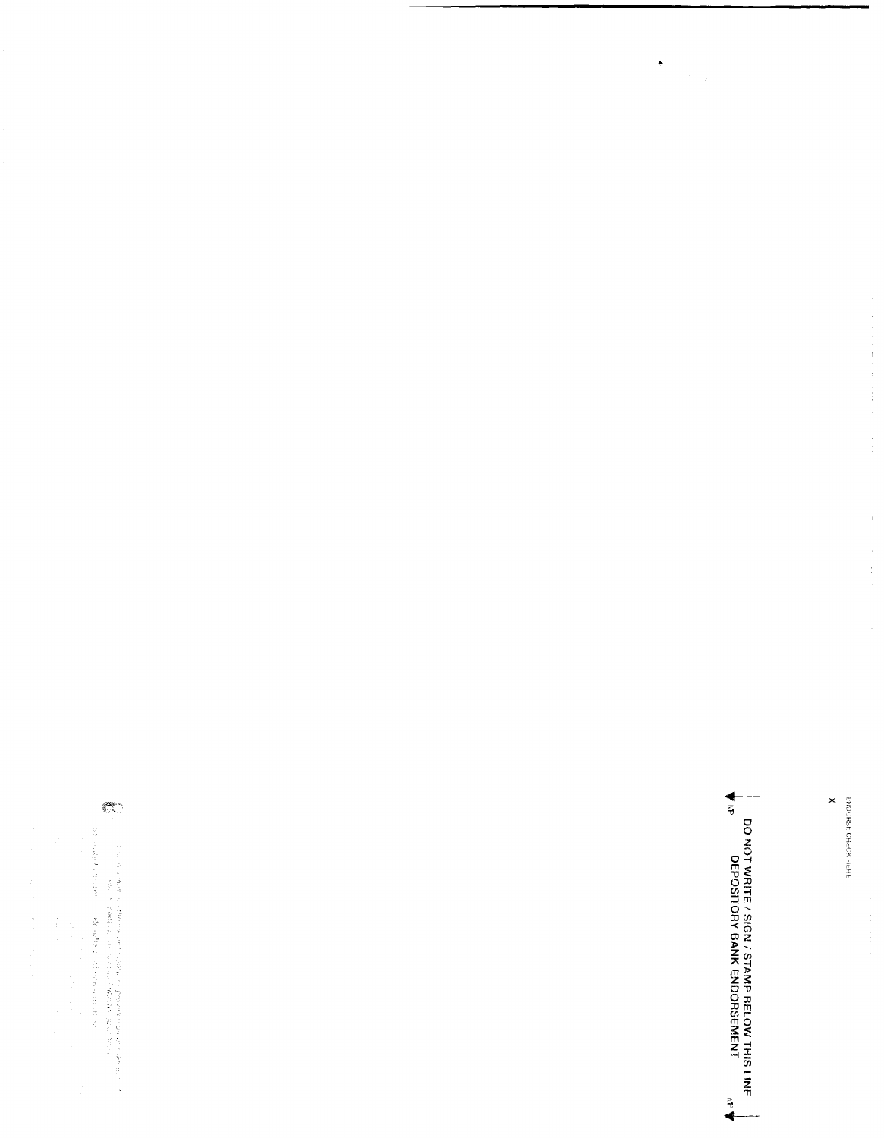The contribution of the problem of the space of the contribution of the contribution of the contribution of the contribution of the contribution of the contribution of the contribution of the contribution of the contribut



ьмоявя снеск нене<br>Х

DO NOT WRITE / SIGN / STAMP BELOW THIS LINE

 $\frac{5}{4}$ 

医腹股沟 医白色素 化二乙

 $\begin{array}{c} \frac{1}{2} \\ \frac{1}{2} \end{array}$ 

 $\frac{1}{2}$ 

 $\begin{aligned} \bullet & \longrightarrow \\ \bullet & \longrightarrow \\ \bullet & \longrightarrow \end{aligned}$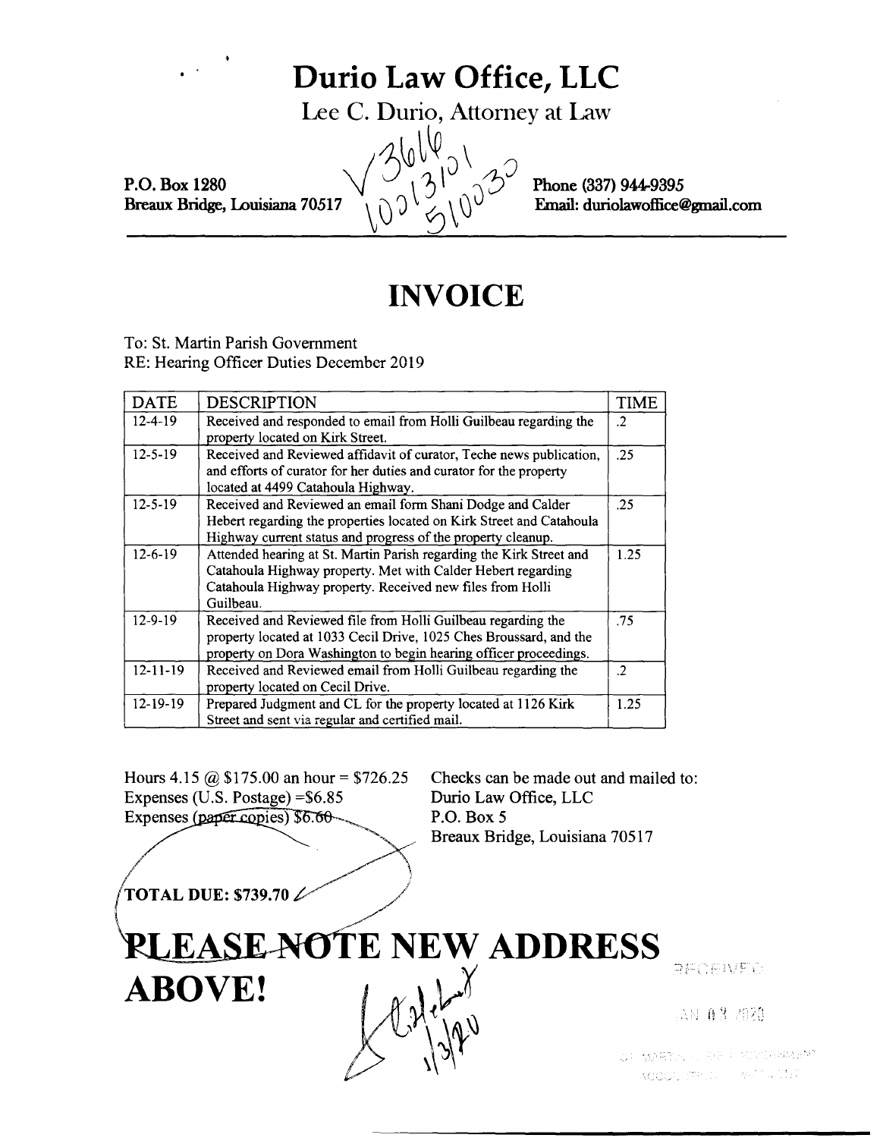Lee C. **Durio,** Attorney at Law

**P.O. Box 1280**<br>Breaux Bridge, Louisiana 70517  $\sqrt{\frac{360 \times 32}{310}}$  Phone (337) 944-9395<br>Email: duriolawoffice@

 $\n Email: \n during a window of the *Qgmail.com*\n$ 

#### **INVOICE**

To: St. Martin Parish Government RE: Hearing Officer Duties December 2019

| <b>DATE</b>    | <b>DESCRIPTION</b>                                                                                                                                                                                            | <b>TIME</b> |
|----------------|---------------------------------------------------------------------------------------------------------------------------------------------------------------------------------------------------------------|-------------|
| $12 - 4 - 19$  | Received and responded to email from Holli Guilbeau regarding the<br>property located on Kirk Street.                                                                                                         | .2          |
| $12 - 5 - 19$  | Received and Reviewed affidavit of curator, Teche news publication,<br>and efforts of curator for her duties and curator for the property<br>located at 4499 Catahoula Highway.                               | .25         |
| $12 - 5 - 19$  | Received and Reviewed an email form Shani Dodge and Calder<br>Hebert regarding the properties located on Kirk Street and Catahoula<br>Highway current status and progress of the property cleanup.            | .25         |
| $12 - 6 - 19$  | Attended hearing at St. Martin Parish regarding the Kirk Street and<br>Catahoula Highway property. Met with Calder Hebert regarding<br>Catahoula Highway property. Received new files from Holli<br>Guilbeau. | 1.25        |
| $12-9-19$      | Received and Reviewed file from Holli Guilbeau regarding the<br>property located at 1033 Cecil Drive, 1025 Ches Broussard, and the<br>property on Dora Washington to begin hearing officer proceedings.       | .75         |
| $12 - 11 - 19$ | Received and Reviewed email from Holli Guilbeau regarding the<br>property located on Cecil Drive.                                                                                                             | $\cdot$ .2  |
| 12-19-19       | Prepared Judgment and CL for the property located at 1126 Kirk<br>Street and sent via regular and certified mail.                                                                                             | 1.25        |

Hours 4.15 @ \$175.00 an hour = \$726.25 Expenses (U.S. Postage) =\$6.85 Expenses (paper copies) \$6.60

Checks can be made out and mailed to: Durio Law Office, LLC P.O. Box 5 Breaux Bridge, Louisiana 70517

**TOTAL DUE: \$739.70**  $\measuredangle$ **PLEASE NOTE NEW ADDRESS** 

**ABOVE!** 

REDENED

武陟 賽達 7020

U MARING REGULIANAN' ACCOUNTELL IN MATINGER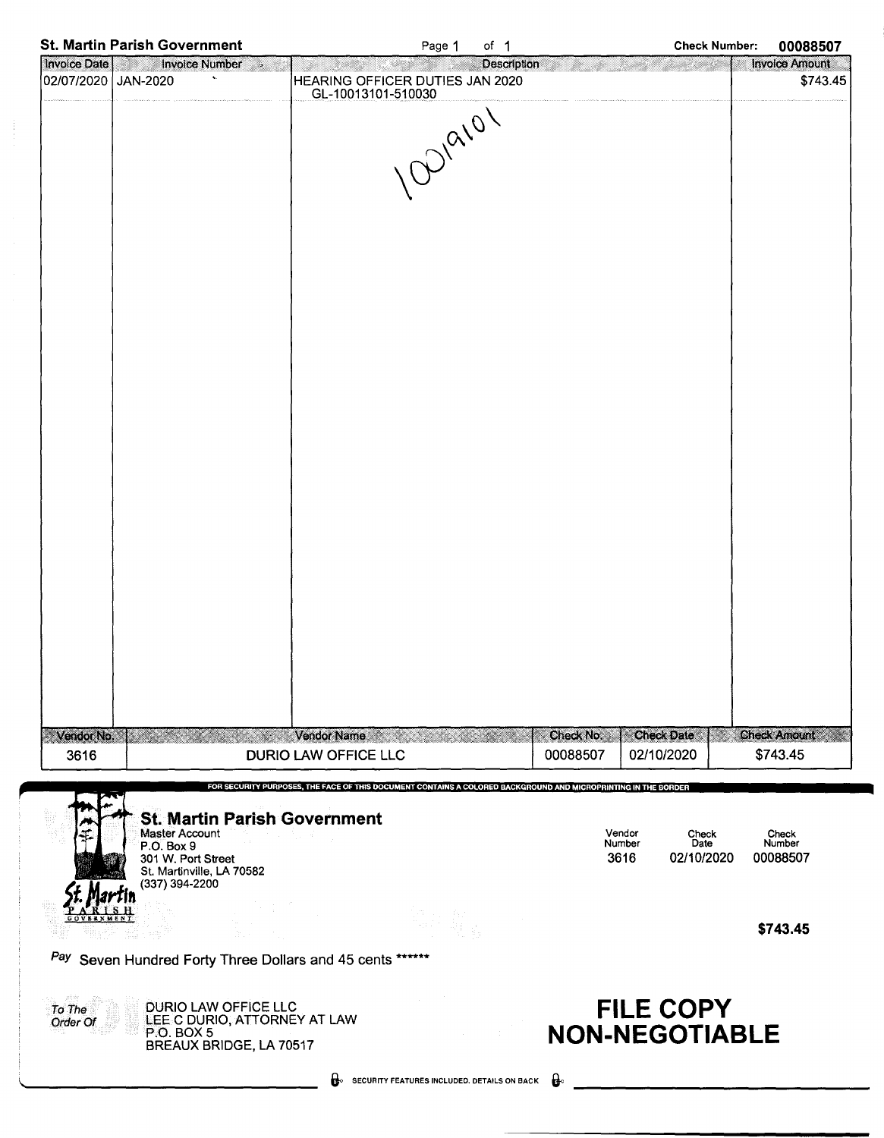| <b>St. Martin Parish Government</b>                                        | Page 1<br>of $1$                                                                                               | <b>Check Number:</b>                 | 00088507                         |
|----------------------------------------------------------------------------|----------------------------------------------------------------------------------------------------------------|--------------------------------------|----------------------------------|
| Invoice Date<br><b>Example 11 Invoice Number</b><br> 02/07/2020            | <b>Description</b><br>HEARING OFFICER DUTIES JAN 2020                                                          |                                      | Invoice Amount<br>x.<br>\$743.45 |
| JAN-2020                                                                   | GL-10013101-510030                                                                                             |                                      |                                  |
|                                                                            | 10-19-101                                                                                                      |                                      |                                  |
|                                                                            |                                                                                                                |                                      |                                  |
|                                                                            |                                                                                                                |                                      |                                  |
|                                                                            |                                                                                                                |                                      |                                  |
|                                                                            |                                                                                                                |                                      |                                  |
|                                                                            |                                                                                                                |                                      |                                  |
|                                                                            |                                                                                                                |                                      |                                  |
|                                                                            |                                                                                                                |                                      |                                  |
|                                                                            |                                                                                                                |                                      |                                  |
|                                                                            |                                                                                                                |                                      |                                  |
|                                                                            |                                                                                                                |                                      |                                  |
|                                                                            |                                                                                                                |                                      |                                  |
|                                                                            |                                                                                                                |                                      |                                  |
|                                                                            |                                                                                                                |                                      |                                  |
|                                                                            |                                                                                                                |                                      |                                  |
|                                                                            |                                                                                                                |                                      |                                  |
|                                                                            |                                                                                                                |                                      |                                  |
|                                                                            |                                                                                                                |                                      |                                  |
|                                                                            |                                                                                                                |                                      |                                  |
|                                                                            |                                                                                                                |                                      |                                  |
|                                                                            |                                                                                                                |                                      |                                  |
|                                                                            |                                                                                                                |                                      |                                  |
|                                                                            |                                                                                                                |                                      |                                  |
|                                                                            |                                                                                                                |                                      |                                  |
|                                                                            |                                                                                                                |                                      |                                  |
| Vendor No.                                                                 | <b>Wendor Name Allen Street</b>                                                                                | Check No.<br><b>Check Date</b>       | <b>Check Amount</b>              |
| 3616                                                                       | DURIO LAW OFFICE LLC                                                                                           | 00088507<br>02/10/2020               | \$743.45                         |
|                                                                            | FOR SECURITY PURPOSES, THE FACE OF THIS DOCUMENT CONTAINS A COLORED BACKGROUND AND MICROPRINTING IN THE BORDER |                                      |                                  |
|                                                                            |                                                                                                                |                                      |                                  |
| <b>St. Martin Parish Government</b><br>Master Account                      |                                                                                                                | Vendor<br>Check                      | Check                            |
| P.O. Box 9<br>301 W. Port Street                                           |                                                                                                                | Number<br>Date<br>3616<br>02/10/2020 | Number<br>00088507               |
| St. Martinville, LA 70582<br>(337) 394-2200                                |                                                                                                                |                                      |                                  |
|                                                                            |                                                                                                                |                                      |                                  |
|                                                                            |                                                                                                                |                                      | \$743.45                         |
|                                                                            |                                                                                                                |                                      |                                  |
| Pay Seven Hundred Forty Three Dollars and 45 cents ******                  |                                                                                                                |                                      |                                  |
|                                                                            |                                                                                                                |                                      |                                  |
| DURIO LAW OFFICE LLC<br>To The<br>LEE C DURIO, ATTORNEY AT LAW<br>Order Of |                                                                                                                | <b>FILE COPY</b>                     |                                  |
| P.O. BOX 5<br>DOCALIV DOINAE 1 A 70547                                     |                                                                                                                | <b>NON-NEGOTIABLE</b>                |                                  |

BREAUX BRIDGE, LA 70517

Ť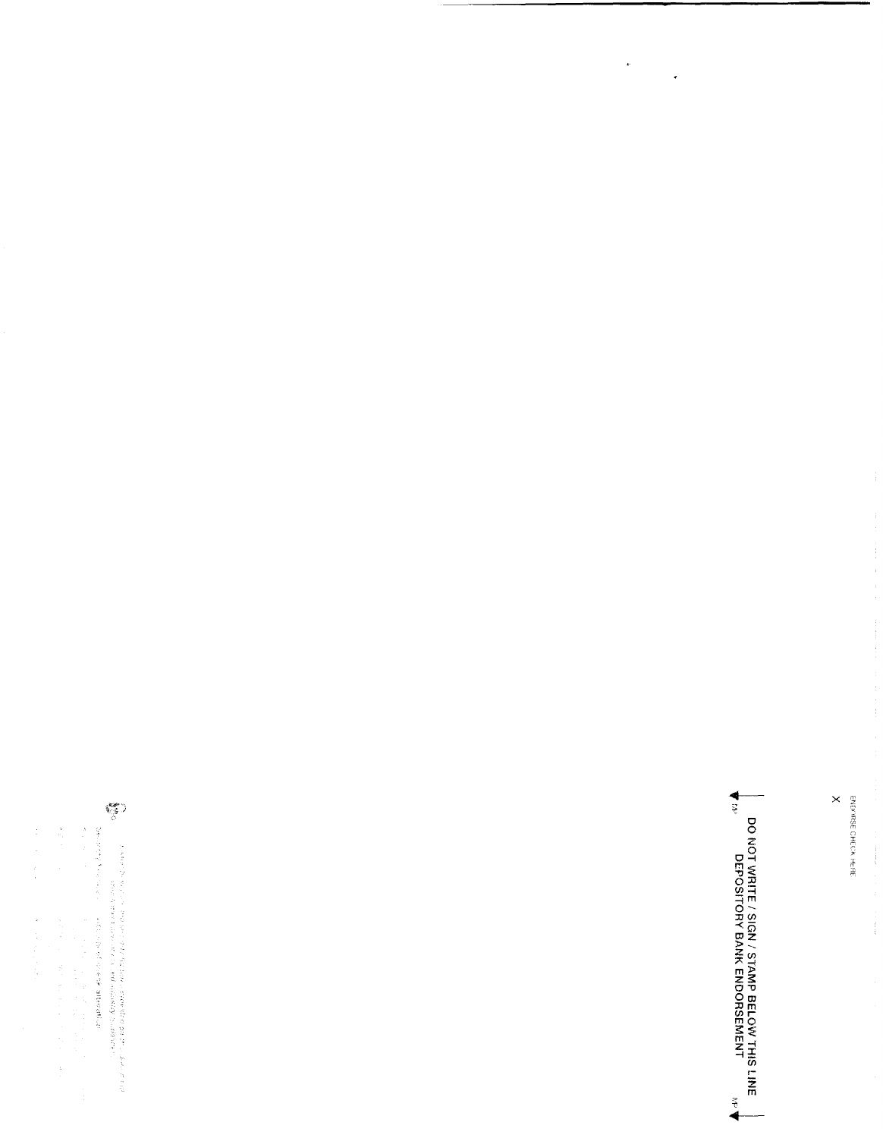is the contract of the contract of the contract of the contract of the contract of the contract of the contract of the contract of the contract of the contract of the contract of the contract of the contract of the contra



ЕND/RSE CHECK НЕRE<br>И

 $\frac{4}{3}$ 

**DO NOT WRITE / SIGN / STAMP BELOW THIS LINE<br>
AT HIS LINE<br>
IS TO DEPOSITORY BANK ENDORSEMENT** 

 $\frac{2}{3}$ 

 $\label{eq:1} \mathbf{e}_{\text{max}} = \frac{1}{\sqrt{2}}$ 

 $\ddot{\phantom{0}}$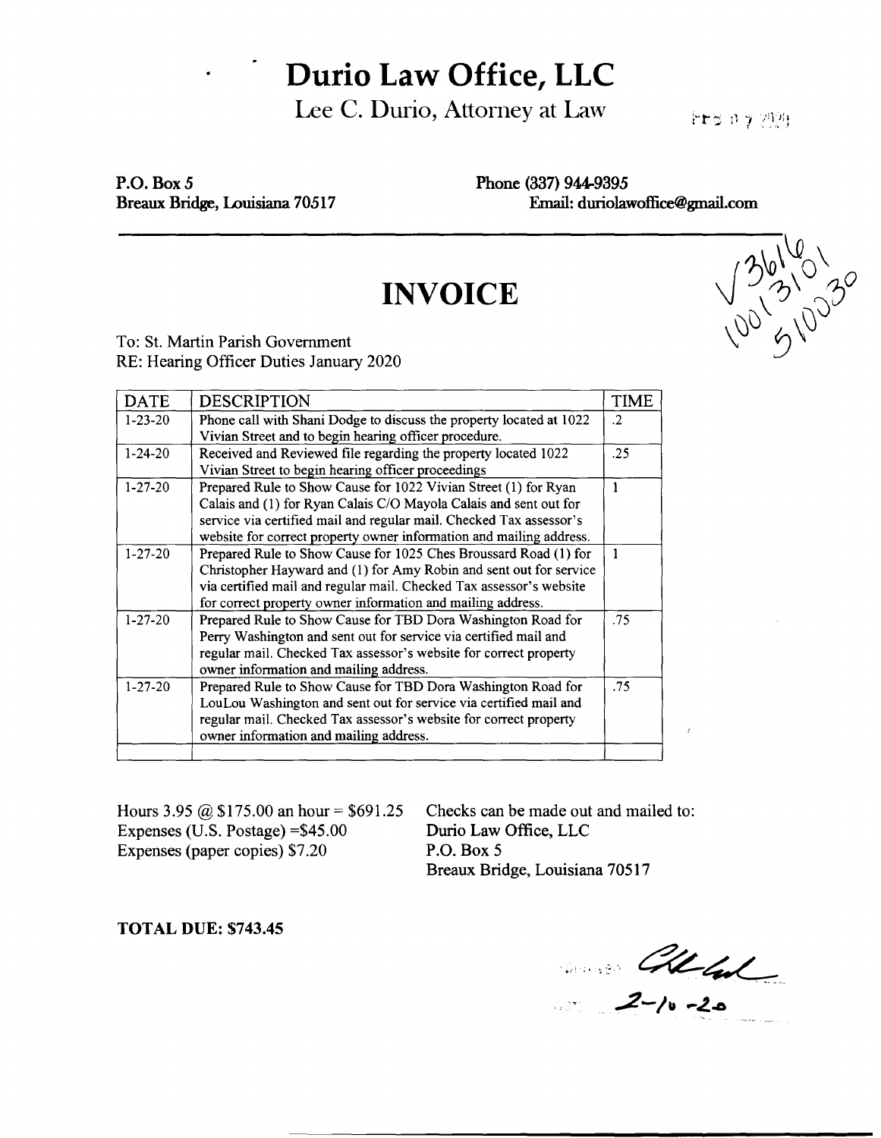Lee C. Durio, Attorney at Law

作れる 真 アプリント

P.O. Box 5 **Phone (337)** 944-9395 **Phone (337)** 944-9395 **Breaux Bridge, Louisiana** 70517

#### **Email: duriolawoffice@gmail.com**

#### **INVOICE**

To: St. Martin Parish Government RE: Hearing Officer Duties January 2020

| <b>DATE</b>   | <b>DESCRIPTION</b>                                                  | <b>TIME</b>  |
|---------------|---------------------------------------------------------------------|--------------|
| $1 - 23 - 20$ | Phone call with Shani Dodge to discuss the property located at 1022 | $\cdot$ .2   |
|               | Vivian Street and to begin hearing officer procedure.               |              |
| $1 - 24 - 20$ | Received and Reviewed file regarding the property located 1022      | .25          |
|               | Vivian Street to begin hearing officer proceedings                  |              |
| $1 - 27 - 20$ | Prepared Rule to Show Cause for 1022 Vivian Street (1) for Ryan     | 1            |
|               | Calais and (1) for Ryan Calais C/O Mayola Calais and sent out for   |              |
|               | service via certified mail and regular mail. Checked Tax assessor's |              |
|               | website for correct property owner information and mailing address. |              |
| $1 - 27 - 20$ | Prepared Rule to Show Cause for 1025 Ches Broussard Road (1) for    | $\mathbf{1}$ |
|               | Christopher Hayward and (1) for Amy Robin and sent out for service  |              |
|               |                                                                     |              |
|               | via certified mail and regular mail. Checked Tax assessor's website |              |
|               | for correct property owner information and mailing address.         |              |
| $1 - 27 - 20$ | Prepared Rule to Show Cause for TBD Dora Washington Road for        | .75          |
|               | Perry Washington and sent out for service via certified mail and    |              |
|               | regular mail. Checked Tax assessor's website for correct property   |              |
|               | owner information and mailing address.                              |              |
| $1 - 27 - 20$ | Prepared Rule to Show Cause for TBD Dora Washington Road for        | .75          |
|               | LouLou Washington and sent out for service via certified mail and   |              |
|               | regular mail. Checked Tax assessor's website for correct property   |              |
|               |                                                                     |              |
|               | owner information and mailing address.                              |              |
|               |                                                                     |              |

Hours 3.95  $\omega$  \$175.00 an hour = \$691.25 Expenses (U.S. Postage) =\$45.00 Expenses (paper copies) \$7.20

Checks can be made out and mailed to: Durio Law Office, LLC P.O. Box 5 Breaux Bridge, Louisiana 70517

**TOT AL DUE:** \$743.45

and Child

136160100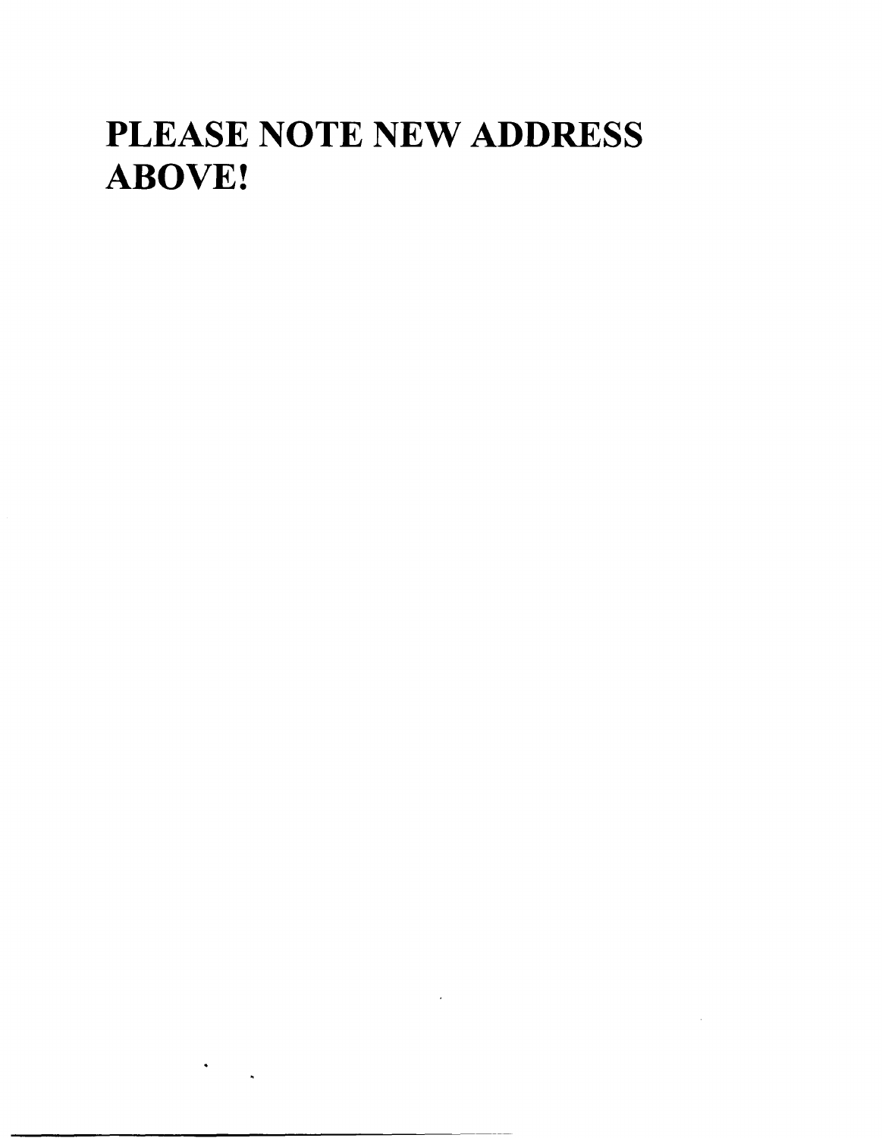# PLEASE NOTE NEW ADDRESS ABOVE!

- 
- 
- 
- 
- 
- 
- 
- 
- 
- 
- - - - -
				-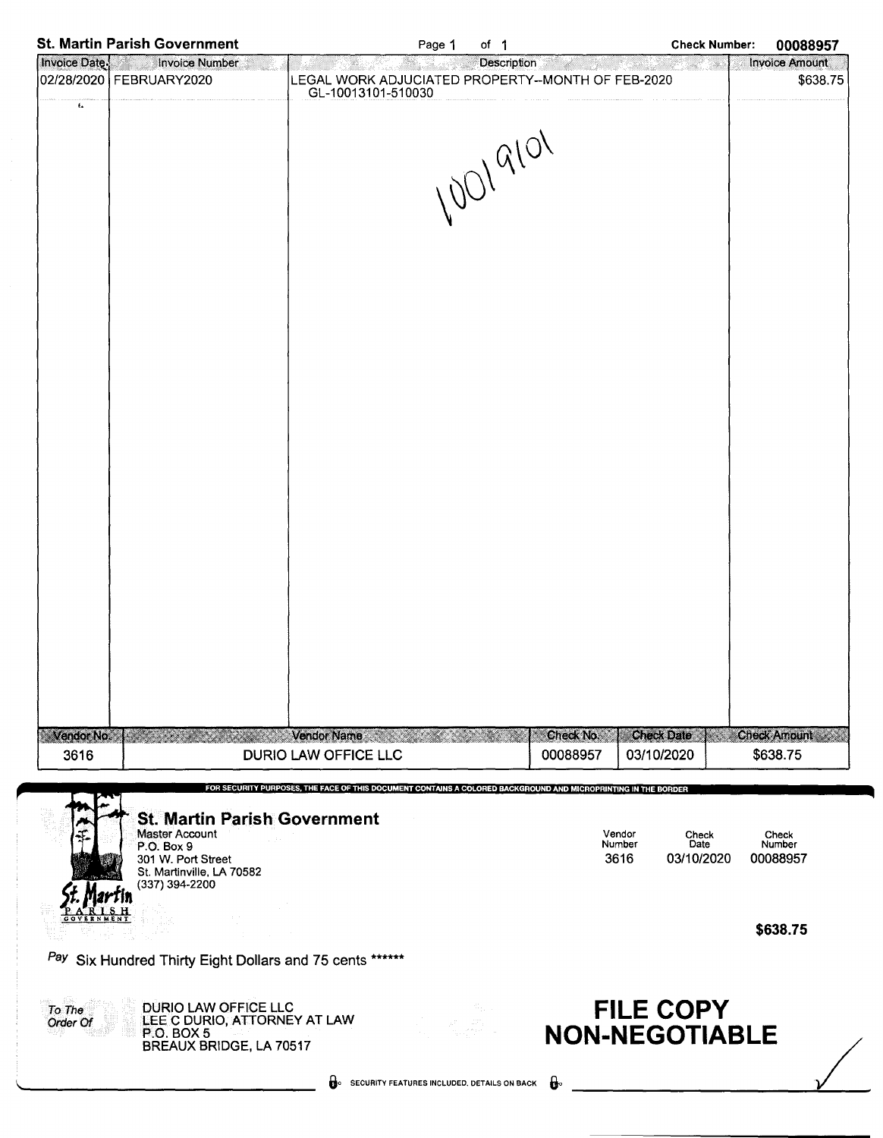| <b>St. Martin Parish Government</b>                                         |                                                                                                                | Page 1<br>of 1                                                                                                                                                                                                        |                              |                                           | <b>Check Number:</b> | 00088957                          |
|-----------------------------------------------------------------------------|----------------------------------------------------------------------------------------------------------------|-----------------------------------------------------------------------------------------------------------------------------------------------------------------------------------------------------------------------|------------------------------|-------------------------------------------|----------------------|-----------------------------------|
| Invoice Date!<br><b>Example 1</b> Invoice Number<br>02/28/2020 FEBRUARY2020 |                                                                                                                | <b>Description</b><br>LEGAL WORK ADJUCIATED PROPERTY--MONTH OF FEB-2020                                                                                                                                               |                              |                                           |                      | <b>Invoice Amount</b><br>\$638.75 |
| $\mathfrak{t}_\bullet$                                                      | GL-10013101-510030                                                                                             |                                                                                                                                                                                                                       |                              |                                           |                      |                                   |
|                                                                             |                                                                                                                |                                                                                                                                                                                                                       |                              |                                           |                      |                                   |
|                                                                             |                                                                                                                | 1001 alor                                                                                                                                                                                                             |                              |                                           |                      |                                   |
|                                                                             |                                                                                                                |                                                                                                                                                                                                                       |                              |                                           |                      |                                   |
|                                                                             |                                                                                                                |                                                                                                                                                                                                                       |                              |                                           |                      |                                   |
|                                                                             |                                                                                                                |                                                                                                                                                                                                                       |                              |                                           |                      |                                   |
|                                                                             |                                                                                                                |                                                                                                                                                                                                                       |                              |                                           |                      |                                   |
|                                                                             |                                                                                                                |                                                                                                                                                                                                                       |                              |                                           |                      |                                   |
|                                                                             |                                                                                                                |                                                                                                                                                                                                                       |                              |                                           |                      |                                   |
|                                                                             |                                                                                                                |                                                                                                                                                                                                                       |                              |                                           |                      |                                   |
|                                                                             |                                                                                                                |                                                                                                                                                                                                                       |                              |                                           |                      |                                   |
|                                                                             |                                                                                                                |                                                                                                                                                                                                                       |                              |                                           |                      |                                   |
|                                                                             |                                                                                                                |                                                                                                                                                                                                                       |                              |                                           |                      |                                   |
|                                                                             |                                                                                                                |                                                                                                                                                                                                                       |                              |                                           |                      |                                   |
|                                                                             |                                                                                                                |                                                                                                                                                                                                                       |                              |                                           |                      |                                   |
|                                                                             |                                                                                                                |                                                                                                                                                                                                                       |                              |                                           |                      |                                   |
|                                                                             |                                                                                                                |                                                                                                                                                                                                                       |                              |                                           |                      |                                   |
|                                                                             |                                                                                                                |                                                                                                                                                                                                                       |                              |                                           |                      |                                   |
|                                                                             |                                                                                                                |                                                                                                                                                                                                                       |                              |                                           |                      |                                   |
|                                                                             |                                                                                                                |                                                                                                                                                                                                                       |                              |                                           |                      |                                   |
|                                                                             |                                                                                                                |                                                                                                                                                                                                                       |                              |                                           |                      |                                   |
|                                                                             |                                                                                                                |                                                                                                                                                                                                                       |                              |                                           |                      |                                   |
|                                                                             |                                                                                                                |                                                                                                                                                                                                                       |                              |                                           |                      |                                   |
|                                                                             |                                                                                                                |                                                                                                                                                                                                                       |                              |                                           |                      |                                   |
| Vendor No.<br>3616                                                          | Vendor Name<br>DURIO LAW OFFICE LLC                                                                            |                                                                                                                                                                                                                       | <b>Check No.</b><br>00088957 | <b>Check Date</b><br>03/10/2020           |                      | <b>Check Amount</b><br>\$638.75   |
|                                                                             | FOR SECURITY PURPOSES, THE FACE OF THIS DOCUMENT CONTAINS A COLORED BACKGROUND AND MICROPRINTING IN THE BORDER |                                                                                                                                                                                                                       |                              |                                           |                      |                                   |
|                                                                             | <b>St. Martin Parish Government</b>                                                                            |                                                                                                                                                                                                                       |                              |                                           |                      |                                   |
| <b>Master Account</b><br>P.O. Box 9                                         |                                                                                                                |                                                                                                                                                                                                                       |                              | Vendor<br>Check<br>Number<br>Date         |                      | Check<br>Number                   |
| 301 W. Port Street<br>St. Martinville, LA 70582                             |                                                                                                                |                                                                                                                                                                                                                       |                              | 03/10/2020<br>3616                        |                      | 00088957                          |
| (337) 394-2200                                                              |                                                                                                                |                                                                                                                                                                                                                       |                              |                                           |                      |                                   |
|                                                                             |                                                                                                                |                                                                                                                                                                                                                       |                              |                                           |                      |                                   |
|                                                                             |                                                                                                                |                                                                                                                                                                                                                       |                              |                                           |                      | \$638.75                          |
| Pay Six Hundred Thirty Eight Dollars and 75 cents ******                    |                                                                                                                |                                                                                                                                                                                                                       |                              |                                           |                      |                                   |
| DURIO LAW OFFICE LLC                                                        |                                                                                                                |                                                                                                                                                                                                                       |                              |                                           |                      |                                   |
| To The<br>Order Of<br>P.O. BOX 5                                            | LEE C DURIO, ATTORNEY AT LAW                                                                                   | $\label{eq:1} \begin{array}{cc} \mathcal{B}^{\mathcal{P}}_{\alpha} & \mathcal{B}^{\mathcal{P}}_{\alpha} \\ \mathcal{P}_{\alpha\beta} & \mathcal{E}^{\mathcal{P}}_{\alpha} \mathcal{P}^{\beta} \\ \end{array} \quad ,$ |                              | <b>FILE COPY</b><br><b>NON-NEGOTIABLE</b> |                      |                                   |
| BREAUX BRIDGE, LA 70517                                                     |                                                                                                                |                                                                                                                                                                                                                       |                              |                                           |                      |                                   |
|                                                                             |                                                                                                                | SECURITY FEATURES INCLUDED, DETAILS ON BACK                                                                                                                                                                           | $\theta$                     |                                           |                      |                                   |
|                                                                             |                                                                                                                |                                                                                                                                                                                                                       |                              |                                           |                      |                                   |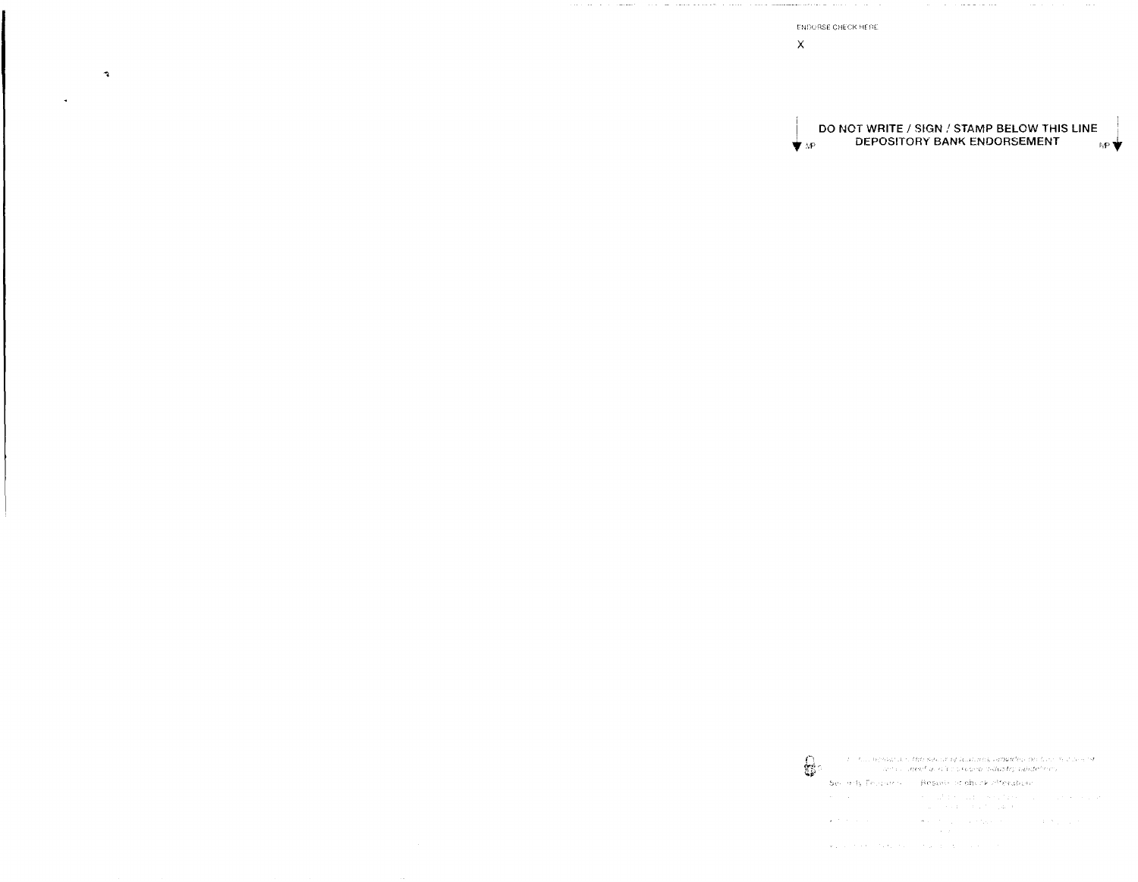ENDORSE CHECK HERE

 $\mathsf{X}^{\top}$ 

 $\mathcal{A}^{\pm}$ 

 $\mathcal{L}$ 

DO NOT WRITE / SIGN / STAMP BELOW THIS LINE DEPOSITORY BANK ENDORSEMENT MP ▼  $\bigstar$   $\infty$ 

 $\bigcap_{\alpha\in\mathcal{P}} \mathbb{R}^n$  . In this means of the sector by buildings admirated and last intervals of  $\bigcap_{\alpha\in\mathcal{P}} \mathbb{R}^n$ 

Secondy Persons - Respuested de Persons -

 $\sigma$  , we can also assume that the distribution of the set of the set of the set of the set of the set of the set of the part of  $\sigma$ 

 $\mathcal{A}^{(1)}$  where  $\mathcal{A}^{(1)}$  is a subset of the properties of the set of  $\mathcal{A}^{(1)}$  and  $\mathcal{A}^{(2)}$  $\mathcal{L}^{\text{max}}_{\text{max}}$  , where  $\mathcal{L}^{\text{max}}_{\text{max}}$ 

, where  $\alpha$  is the transformation of the first part of  $\alpha$  ,  $\alpha$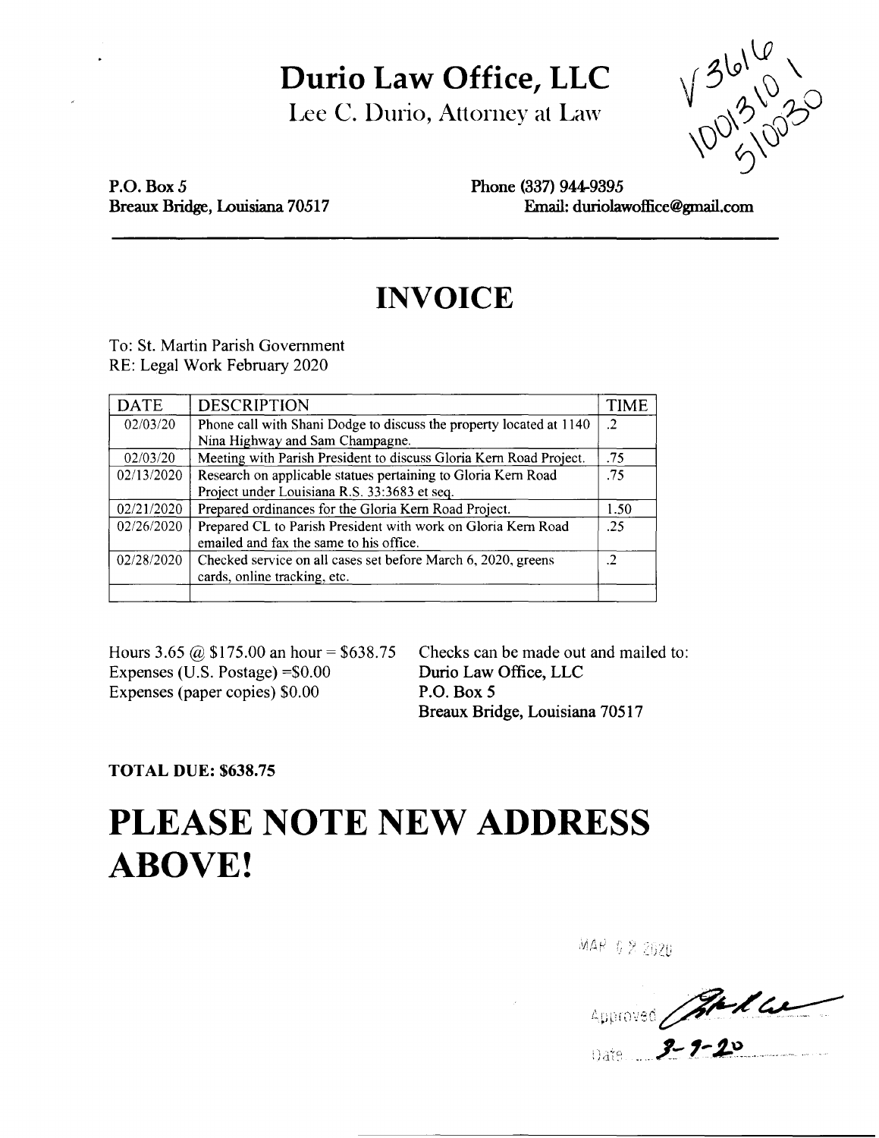Lee C. Durio, Attorney at Law



P.O. Box 5<br>Breaux Bridge, Louisiana 70517<br>Email: duriolay

Email: duriolawoffice@gmail.com

#### **INVOICE**

To: St. Martin Parish Government RE: Legal Work February 2020

| <b>DATE</b> | <b>DESCRIPTION</b>                                                  | TIME    |
|-------------|---------------------------------------------------------------------|---------|
| 02/03/20    | Phone call with Shani Dodge to discuss the property located at 1140 | $\cdot$ |
|             | Nina Highway and Sam Champagne.                                     |         |
| 02/03/20    | Meeting with Parish President to discuss Gloria Kern Road Project.  | .75     |
| 02/13/2020  | Research on applicable statues pertaining to Gloria Kern Road       | .75     |
|             | Project under Louisiana R.S. 33:3683 et seq.                        |         |
| 02/21/2020  | Prepared ordinances for the Gloria Kern Road Project.               | 1.50    |
| 02/26/2020  | Prepared CL to Parish President with work on Gloria Kern Road       | .25     |
|             | emailed and fax the same to his office.                             |         |
| 02/28/2020  | Checked service on all cases set before March 6, 2020, greens       | .2      |
|             | cards, online tracking, etc.                                        |         |
|             |                                                                     |         |

Hours 3.65  $\omega$  \$175.00 an hour = \$638.75 Expenses (U.S. Postage) =\$0.00 Expenses (paper copies) \$0.00

Checks can be made out and mailed to: **Durio Law Office, LLC P.O. Box 5 Breaux Bridge, Louisiana** 70517

**TOTAL DUE: \$638.75** 

# **PLEASE NOTE NEW ADDRESS ABOVE!**

MAR \$ 2 2620

Approved Pola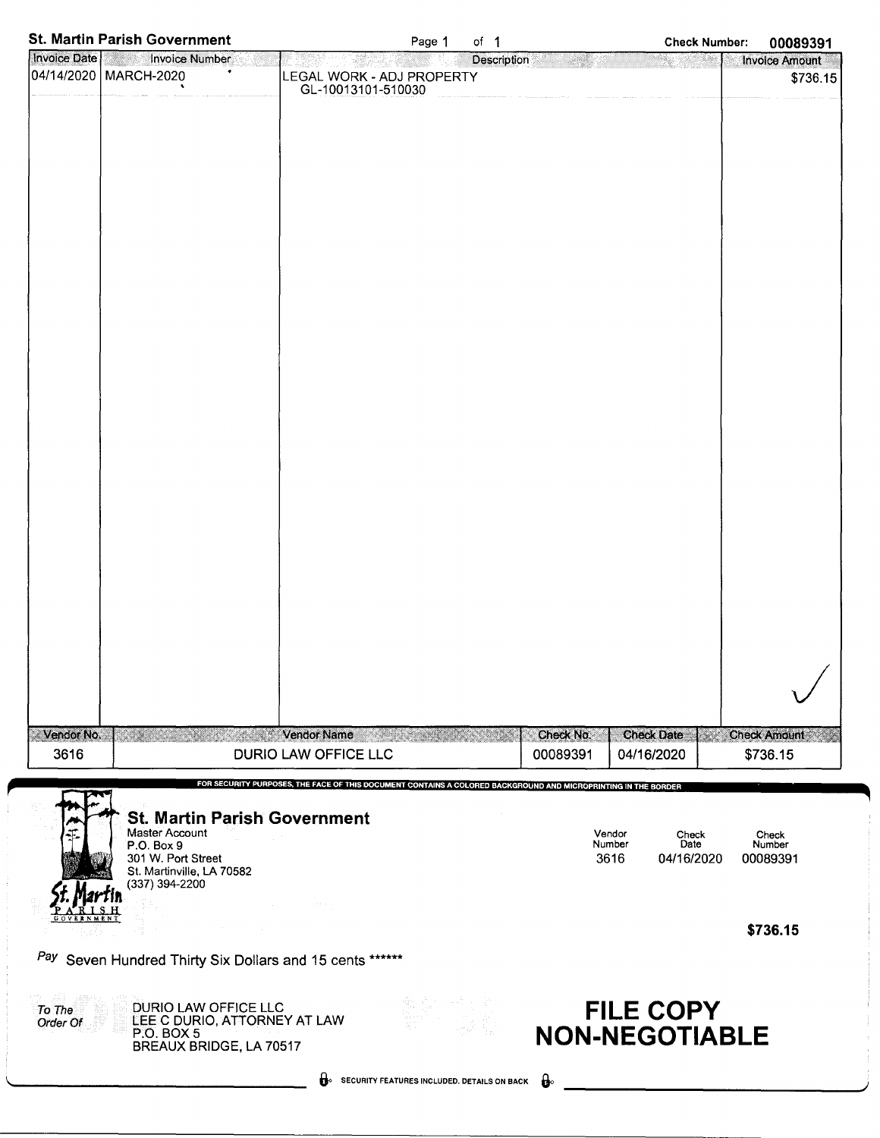|              | <b>St. Martin Parish Government</b> |                                                 | Page 1 | Ω |
|--------------|-------------------------------------|-------------------------------------------------|--------|---|
| Invoice Date | <b>Invoice Number</b>               |                                                 |        | D |
|              | 04/14/2020   MARCH-2020             | LEGAL WORK - ADJ PROPERTY<br>GL-10013101-510030 |        |   |
|              |                                     |                                                 |        |   |
|              |                                     |                                                 |        |   |

| Vendor No.<br>3616 | S Maria M | <b>Example 2.5 Vendor Name</b><br><u>TAN TANAH MARAKA</u><br>DURIO LAW OFFICE LLC | Check No.<br>00089391 | <b>Check Date</b><br>04/16/2020 | <b>Check Amount</b><br>Ŵ.<br>\$736.15 |
|--------------------|-----------|-----------------------------------------------------------------------------------|-----------------------|---------------------------------|---------------------------------------|
|                    |           | FOR SECURITY PURPOSES, THE FACE OF THIS DOCUMENT CONTAINS A COLORED BACKGROUT     | <b>AND MICROPR</b>    | ING IN THE ROPDER               |                                       |



**St. Martin Parish Government** Master Account P.O. Box 9 301 W. Port Street St. Martinville, LA 70582  $(337) 394 - 2200$ 

| Vendor | Check      |
|--------|------------|
| Number | Date       |
| 3616   | 04/16/2020 |

Check<br>Number 00089391

\$736.15

Pay Seven Hundred Thirty Six Dollars and 15 cents \*\*\*\*\*\*



DURIO LAW OFFICE LLC<br>LEE C DURIO, ATTORNEY AT LAW<br>P.O. BOX 5 BREAUX BRIDGE, LA 70517



#### FILE COPY **NON-NEGOTIABLE**

Invoice Amount

\$736.15

a katika ma

Description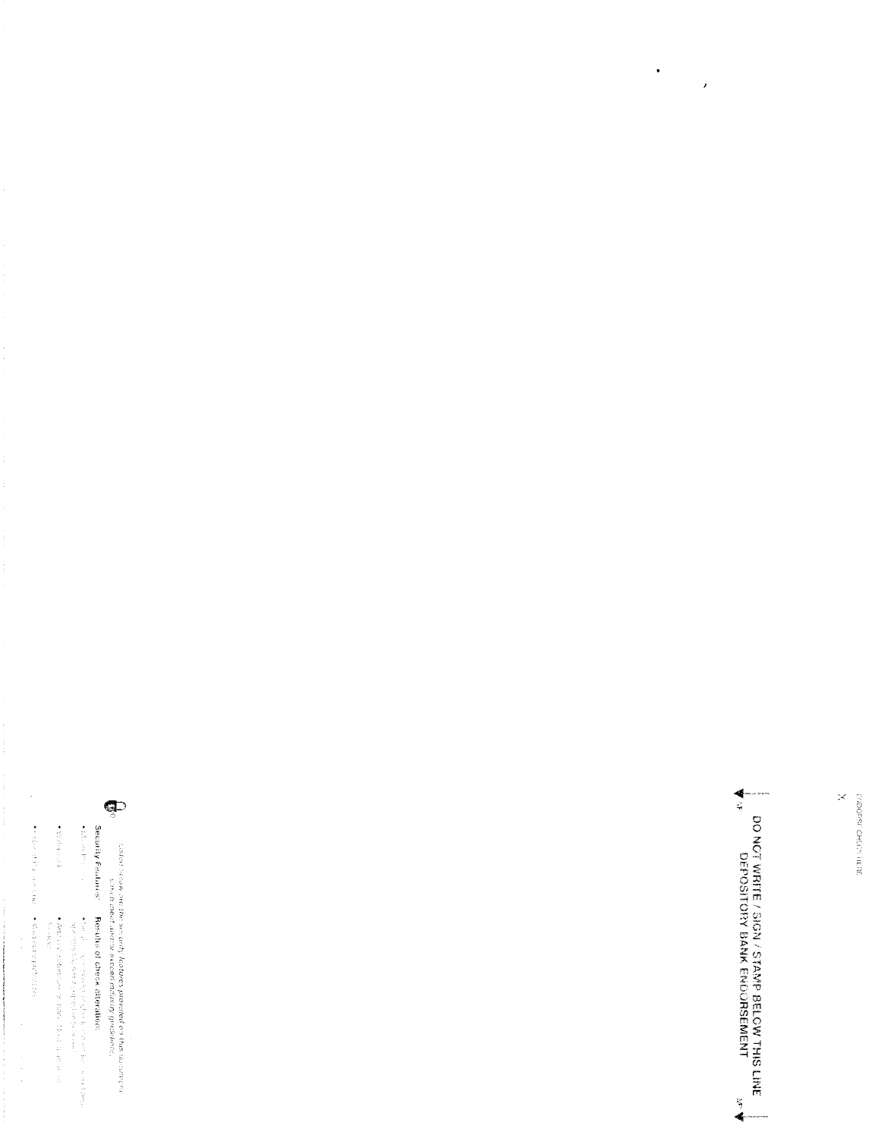Ŷ,  $\bullet$  . The state is the state of the state of the state of the state of the state of the state of the state of the state of the state of the state of the state of the state of the state of the state of the state of the st  $\frac{1}{2}$ 

 $\label{eq:3.1} \begin{split} \text{where}&\text{argmax}_{\mathbf{x}}\text{argmax}_{\mathbf{x}}\text{argmax}_{\mathbf{x}}=\ldots=\ldots=1\end{split}$ 

 $\frac{1}{\sqrt{2}}$ 

 $\bullet$  Distribution photo  $\sim$  $10\,\mathrm{mm}\,\mathrm{W}$  $\bullet$  Additionally, the specifical dependence of the specific space of the specific specific specific space  $\sim$  $\label{eq:3} \begin{split} \mathbf{w}^{(1)}_{\mathbf{u}}&= \mathbf{v}^{(1)}_{\mathbf{u}}\cdot\mathbf{v}^{(1)}_{\mathbf{u}}\cdot\mathbf{v}^{(2)}_{\mathbf{u}}\cdot\mathbf{v}^{(3)}_{\mathbf{u}}\cdot\mathbf{v}^{(4)}_{\mathbf{u}}\cdot\mathbf{v}^{(5)}_{\mathbf{u}}\cdot\mathbf{v}^{(6)}_{\mathbf{u}}\cdot\mathbf{v}^{(8)}_{\mathbf{u}}\cdot\mathbf{v}^{(8)}_{\mathbf{u}}\cdot\mathbf{v}^{(8)}_{\mathbf{u}}\$ 

Listed Proble 24e the security features provided on this dependent<br>which meet under a construction of the dependent<br>Security Features: Recube of check attending



ENDOPSE CHECK HERE  $\asymp$ 

 $\frac{4}{3}$ 

DO NOT WRITE / SIGN / STAMP BELOW THIS LINE

 $\ddot{\phantom{0}}$ 

 $\overline{\phantom{a}}$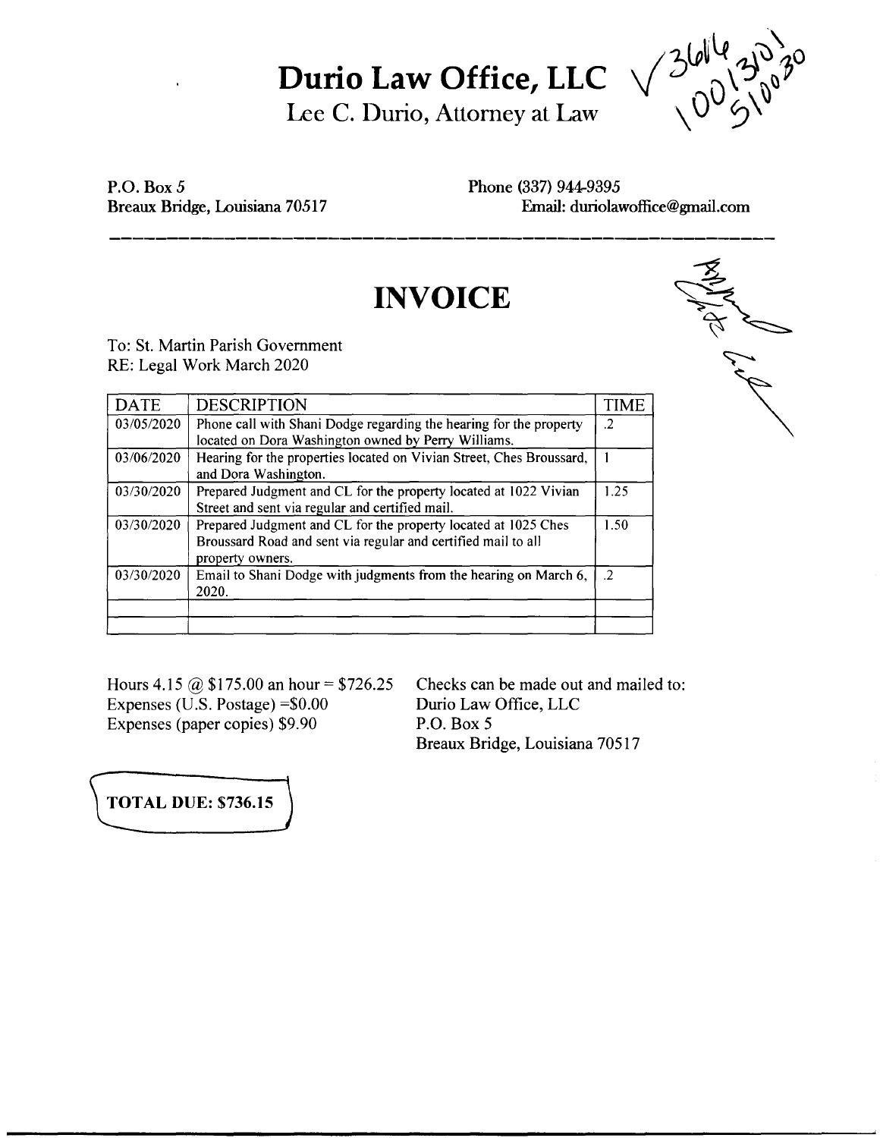**Durio Law Office, LLC** 

Lee C. Durio, Attorney at Law



RIVER Collection

Breaux Bridge, Louisiana 70517

P.O. Box 5<br>**Phone (337)** 944-9395<br>**Email:** duriolawoffice@gmail.com

#### **INVOICE**

To: St. Martin Parish Government RE: Legal Work March 2020

| <b>DATE</b> | <b>DESCRIPTION</b>                                                                                                                                  | TIME      |
|-------------|-----------------------------------------------------------------------------------------------------------------------------------------------------|-----------|
| 03/05/2020  | Phone call with Shani Dodge regarding the hearing for the property<br>located on Dora Washington owned by Perry Williams.                           | $\cdot$   |
| 03/06/2020  | Hearing for the properties located on Vivian Street, Ches Broussard,<br>and Dora Washington.                                                        |           |
| 03/30/2020  | Prepared Judgment and CL for the property located at 1022 Vivian<br>Street and sent via regular and certified mail.                                 | 1.25      |
| 03/30/2020  | Prepared Judgment and CL for the property located at 1025 Ches<br>Broussard Road and sent via regular and certified mail to all<br>property owners. | 1.50      |
| 03/30/2020  | Email to Shani Dodge with judgments from the hearing on March 6,<br>2020.                                                                           | $\cdot$ 2 |
|             |                                                                                                                                                     |           |

Hours 4.15 @ \$175.00 an hour = \$726.25 Expenses (U.S. Postage) =\$0.00 Expenses (paper copies) \$9.90

Checks can be made out and mailed to: Durio Law Office, LLC P.O. Box 5 Breaux Bridge, Louisiana 70517

**TOTAL DUE: \$736.15**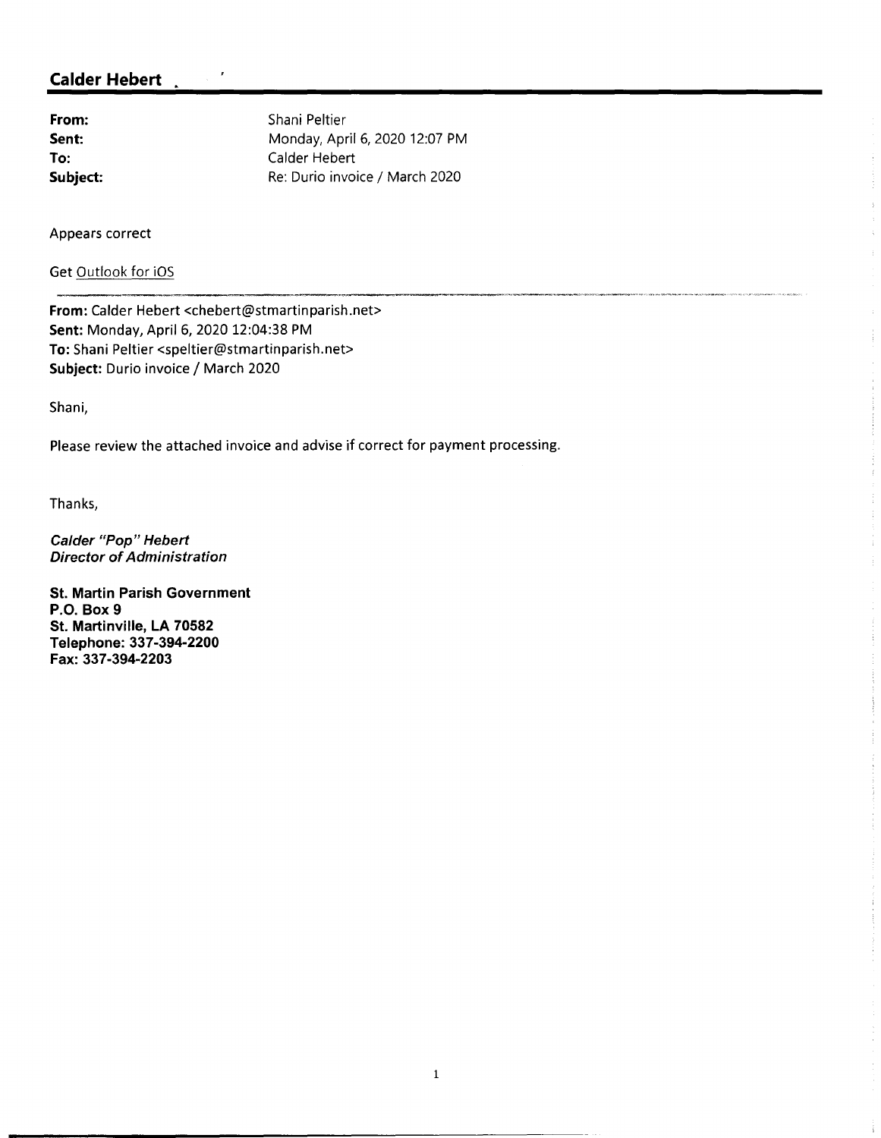#### **Calder Hebert**

**Sent: To:** 

**From:** Shani Peltier Monday, April 6, 2020 12:07 PM Calder Hebert **Subject:** Re: Durio invoice / March 2020

Appears correct

Get Outlook for iOS

**From:** Calder Hebert <chebert@stmartinparish.net> **Sent:** Monday, April 6, 2020 12:04:38 PM **To:** Shani Peltier <speltier@stmartinparish.net> **Subject:** Durio invoice/ March 2020

Shani,

Please review the attached invoice and advise if correct for payment processing.

Thanks,

**Calder "Pop" Hebert Director of Administration** 

St. Martin Parish Government **P.O. Box** 9 St. Martinville, LA 70582 Telephone: 337-394-2200 Fax: 337-394-2203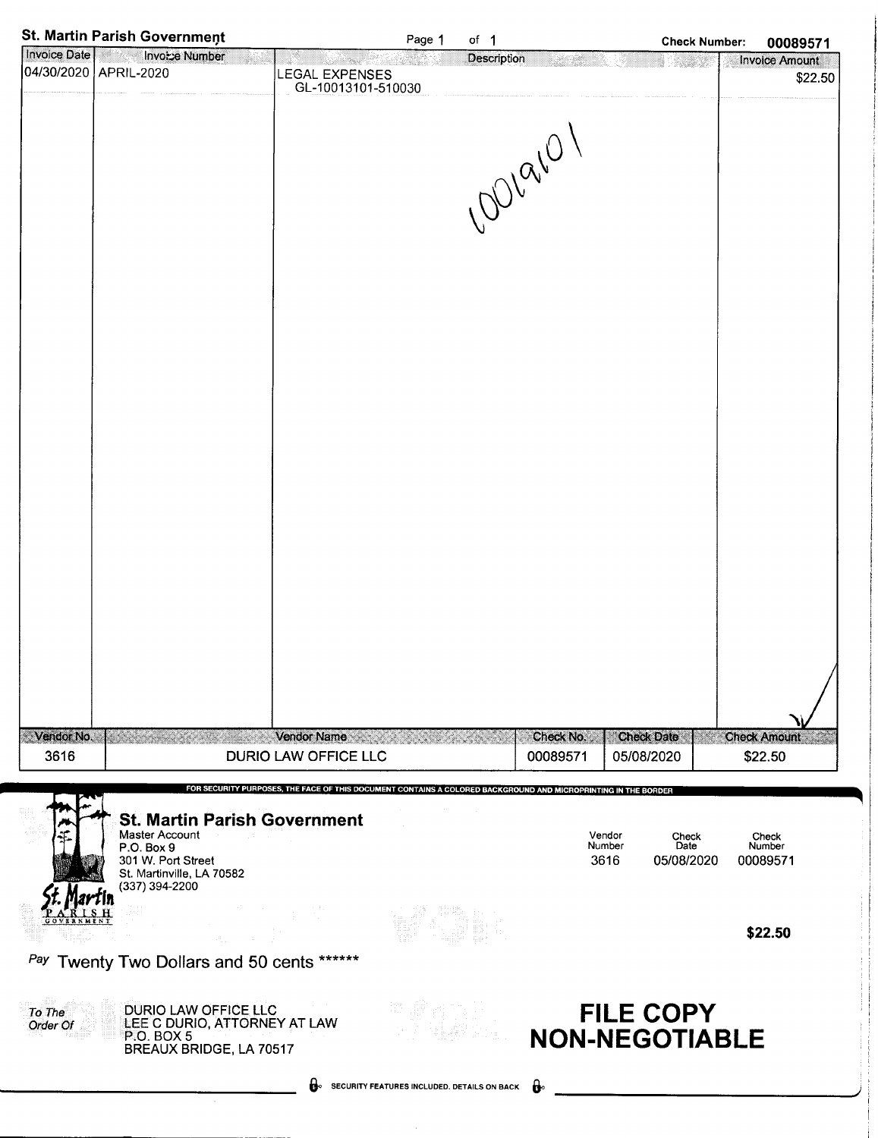|                    | <b>St. Martin Parish Government</b>                                |                                                                                                                | Page 1 | of $1$             |                       |                                 | <b>Check Number:</b> | 00089571            |         |
|--------------------|--------------------------------------------------------------------|----------------------------------------------------------------------------------------------------------------|--------|--------------------|-----------------------|---------------------------------|----------------------|---------------------|---------|
| Invoice Date       | <b>Invoice Number</b><br>04/30/2020 APRIL-2020                     | LEGAL EXPENSES<br>GL-10013101-510030                                                                           |        | <b>Description</b> |                       |                                 |                      | Invoice Amount      | \$22.50 |
|                    |                                                                    |                                                                                                                |        |                    |                       |                                 |                      |                     |         |
|                    |                                                                    |                                                                                                                |        |                    | UDIQUO I              |                                 |                      |                     |         |
|                    |                                                                    |                                                                                                                |        |                    |                       |                                 |                      |                     |         |
|                    |                                                                    |                                                                                                                |        |                    |                       |                                 |                      |                     |         |
|                    |                                                                    |                                                                                                                |        |                    |                       |                                 |                      |                     |         |
|                    |                                                                    |                                                                                                                |        |                    |                       |                                 |                      |                     |         |
|                    |                                                                    |                                                                                                                |        |                    |                       |                                 |                      |                     |         |
|                    |                                                                    |                                                                                                                |        |                    |                       |                                 |                      |                     |         |
|                    |                                                                    |                                                                                                                |        |                    |                       |                                 |                      |                     |         |
|                    |                                                                    |                                                                                                                |        |                    |                       |                                 |                      |                     |         |
|                    |                                                                    |                                                                                                                |        |                    |                       |                                 |                      |                     |         |
|                    |                                                                    |                                                                                                                |        |                    |                       |                                 |                      |                     |         |
|                    |                                                                    |                                                                                                                |        |                    |                       |                                 |                      |                     |         |
|                    |                                                                    |                                                                                                                |        |                    |                       |                                 |                      |                     |         |
|                    |                                                                    |                                                                                                                |        |                    |                       |                                 |                      |                     |         |
| Vendor No.<br>3616 |                                                                    | Vendor Name<br>DURIO LAW OFFICE LLC                                                                            |        |                    | Check No.<br>00089571 | <b>Check Date</b><br>05/08/2020 |                      | <b>Check Amount</b> |         |
|                    |                                                                    | FOR SECURITY PURPOSES, THE FACE OF THIS DOCUMENT CONTAINS A COLORED BACKGROUND AND MICROPRINTING IN THE BORDER |        |                    |                       |                                 |                      | \$22.50             |         |
|                    | <b>St. Martin Parish Government</b><br>Master Account              |                                                                                                                |        |                    |                       | Vendor                          | Check                | Check               |         |
|                    | P.O. Box 9<br>301 W. Port Street<br>St. Martinville, LA 70582      |                                                                                                                |        |                    |                       | Number<br>3616                  | Date<br>05/08/2020   | Number<br>00089571  |         |
|                    | (337) 394-2200                                                     |                                                                                                                |        |                    |                       |                                 |                      |                     |         |
|                    | Pay Twenty Two Dollars and 50 cents ******                         |                                                                                                                |        |                    |                       |                                 |                      | \$22.50             |         |
|                    |                                                                    |                                                                                                                |        |                    |                       |                                 |                      |                     |         |
| To The<br>Order Of | DURIO LAW OFFICE LLC<br>LEE C DURIO, ATTORNEY AT LAW<br>P.O. BOX 5 |                                                                                                                |        |                    | <b>NON-NEGOTIABLE</b> |                                 | <b>FILE COPY</b>     |                     |         |
|                    | BREAUX BRIDGE, LA 70517                                            |                                                                                                                |        |                    |                       |                                 |                      |                     |         |

 $\bar{z}$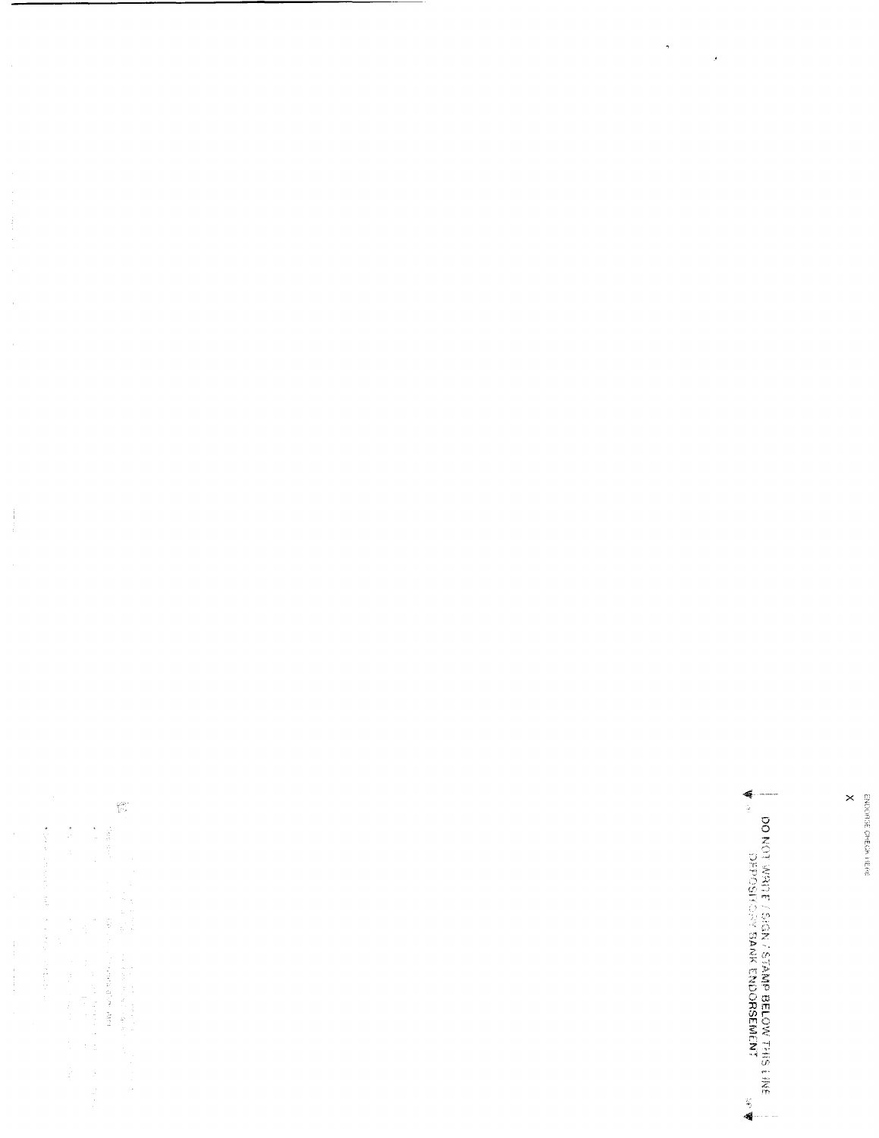$\label{eq:2.1} \frac{1}{\sqrt{2}}\left(\frac{1}{\sqrt{2}}\right)^2\left(\frac{1}{\sqrt{2}}\right)^2\left(\frac{1}{\sqrt{2}}\right)^2\left(\frac{1}{\sqrt{2}}\right)^2\left(\frac{1}{\sqrt{2}}\right)^2\left(\frac{1}{\sqrt{2}}\right)^2\left(\frac{1}{\sqrt{2}}\right)^2\left(\frac{1}{\sqrt{2}}\right)^2\left(\frac{1}{\sqrt{2}}\right)^2\left(\frac{1}{\sqrt{2}}\right)^2\left(\frac{1}{\sqrt{2}}\right)^2\left(\frac{1}{\sqrt{2}}\right)^2\left(\frac{1}{\sqrt$ 

 $\label{eq:2.1} \frac{1}{\sqrt{2}}\left[\frac{1}{\sqrt{2}}\left(\frac{1}{\sqrt{2}}\right)^2\left(\frac{1}{\sqrt{2}}\right)^2\left(\frac{1}{\sqrt{2}}\right)^2\left(\frac{1}{\sqrt{2}}\right)^2\left(\frac{1}{\sqrt{2}}\right)^2\left(\frac{1}{\sqrt{2}}\right)^2\left(\frac{1}{\sqrt{2}}\right)^2\left(\frac{1}{\sqrt{2}}\right)^2\left(\frac{1}{\sqrt{2}}\right)^2\left(\frac{1}{\sqrt{2}}\right)^2\left(\frac{1}{\sqrt{2}}\right)^2\left(\frac{1}{\sqrt{2}}\$ 

 $\begin{aligned} \frac{1}{\sqrt{2}}\mathbf{1}_{\mathcal{A}}\mathbf{1}_{\mathcal{A}}\\ \frac{1}{\sqrt{2}}\mathbf{1}_{\mathcal{A}}\mathbf{1}_{\mathcal{A}}\mathbf{1}_{\mathcal{A}}\mathbf{1}_{\mathcal{A}}\mathbf{1}_{\mathcal{A}}\mathbf{1}_{\mathcal{A}}\mathbf{1}_{\mathcal{A}}\mathbf{1}_{\mathcal{A}}\mathbf{1}_{\mathcal{A}}\mathbf{1}_{\mathcal{A}}\mathbf{1}_{\mathcal{A}}\mathbf{1}_{\mathcal{A}}\mathbf{1}_{\mathcal{A}}\mathbf{1}_{\mathcal{A}}\math$  $\sim$  100 Mag  $_{\odot}$  $\label{eq:2.1} \begin{split} \mathcal{L}_{\text{max}}(\mathbf{r}) &= \mathcal{L}_{\text{max}}(\mathbf{r}) \mathcal{L}_{\text{max}}(\mathbf{r}) = \mathcal{L}_{\text{max}}(\mathbf{r}) \mathcal{L}_{\text{max}}(\mathbf{r}) = \mathcal{L}_{\text{max}}(\mathbf{r}) \mathcal{L}_{\text{max}}(\mathbf{r}) = \mathcal{L}_{\text{max}}(\mathbf{r}) \mathcal{L}_{\text{max}}(\mathbf{r}) = \mathcal{L}_{\text{max}}(\mathbf{r}) \mathcal{L}_{\text{max}}(\mathbf{r}) = \mathcal{L}_{\text{max}}(\math$ 

 $\frac{\partial \Phi}{\partial \phi}$ 

 $\times$ ENDORGE CHECK HERE

 $\bigotimes$ 

 $\ddot{\phantom{0}}$ 

 $\frac{1}{2}$  ,  $\frac{1}{2}$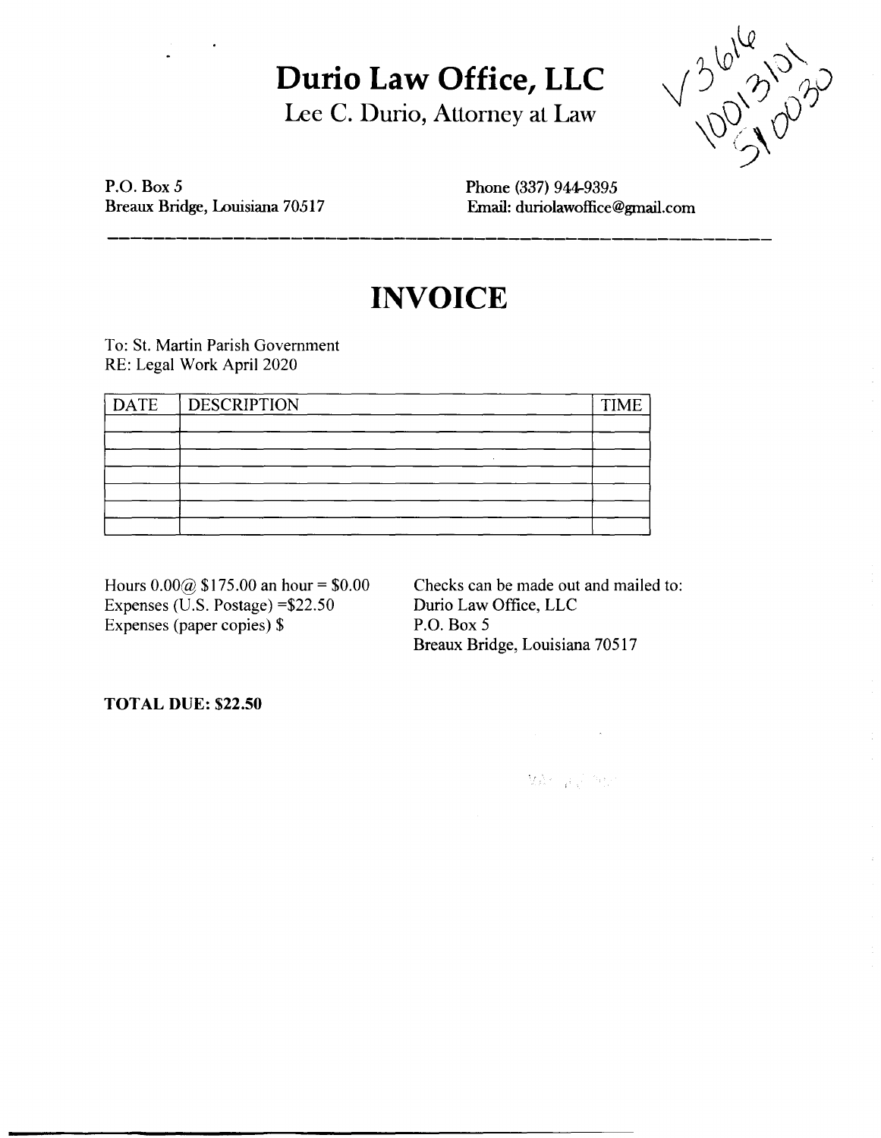Lee C. Durio, Attorney at Law



P.O. Box5 Breaux Bridge, Louisiana 70517 Phone (337) 944-9395 Email: duriolawoffice@gmail.com

#### **INVOICE**

To: St. Martin Parish Government RE: Legal Work April 2020

| DATE DESCRIPTION | <b>TIME</b> |
|------------------|-------------|
|                  |             |
|                  |             |
|                  |             |
|                  |             |
|                  |             |
|                  |             |

Hours  $0.00@$  \$175.00 an hour = \$0.00 Expenses (U.S. Postage) =\$22.50 Expenses (paper copies) \$

Checks can be made out and mailed to: Durio Law Office, LLC P.O. Box 5 Breaux Bridge, Louisiana 70517

**TOTAL DUE: \$22.50** 

 $\mathbf{M}\mathbf{A}=\mathbf{p}\sqrt{2m_{\mathrm{B}}^{2}}$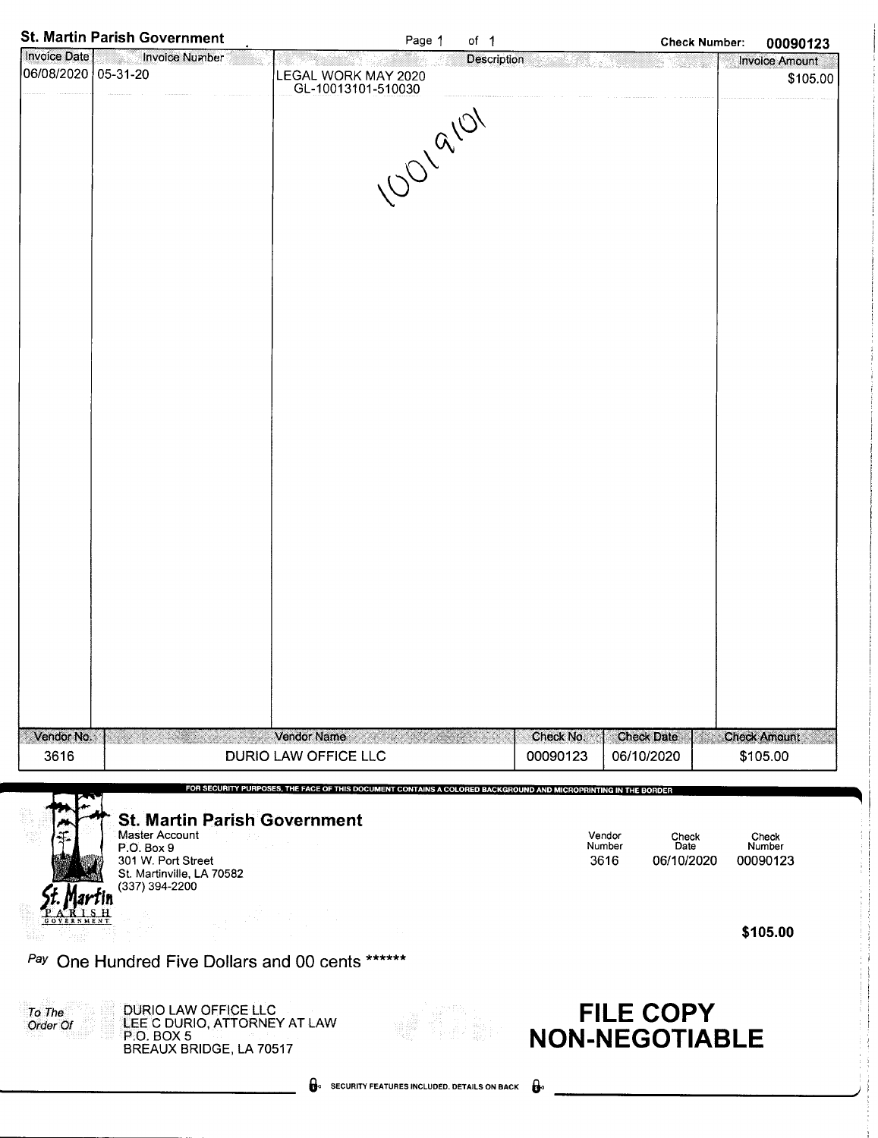|                                     | <b>St. Martin Parish Government</b>                                | Page 1                                                                                                         | of $1$             |                       | <b>Check Number:</b>                                    | 00090123                          |
|-------------------------------------|--------------------------------------------------------------------|----------------------------------------------------------------------------------------------------------------|--------------------|-----------------------|---------------------------------------------------------|-----------------------------------|
| Invoice Date<br>06/08/2020 05-31-20 | <b>Invoice Number</b><br>m.                                        | LEGAL WORK MAY 2020<br>GL-10013101-510030                                                                      | <b>Description</b> |                       |                                                         | <b>Invoice Amount</b><br>\$105.00 |
|                                     |                                                                    |                                                                                                                |                    |                       |                                                         |                                   |
|                                     |                                                                    |                                                                                                                | 100 avol           |                       |                                                         |                                   |
|                                     |                                                                    |                                                                                                                |                    |                       |                                                         |                                   |
|                                     |                                                                    |                                                                                                                |                    |                       |                                                         |                                   |
|                                     |                                                                    |                                                                                                                |                    |                       |                                                         |                                   |
|                                     |                                                                    |                                                                                                                |                    |                       |                                                         |                                   |
|                                     |                                                                    |                                                                                                                |                    |                       |                                                         |                                   |
|                                     |                                                                    |                                                                                                                |                    |                       |                                                         |                                   |
|                                     |                                                                    |                                                                                                                |                    |                       |                                                         |                                   |
|                                     |                                                                    |                                                                                                                |                    |                       |                                                         |                                   |
|                                     |                                                                    |                                                                                                                |                    |                       |                                                         |                                   |
|                                     |                                                                    |                                                                                                                |                    |                       |                                                         |                                   |
|                                     |                                                                    |                                                                                                                |                    |                       |                                                         |                                   |
|                                     |                                                                    |                                                                                                                |                    |                       |                                                         |                                   |
|                                     |                                                                    |                                                                                                                |                    |                       |                                                         |                                   |
|                                     |                                                                    |                                                                                                                |                    |                       |                                                         |                                   |
|                                     |                                                                    |                                                                                                                |                    |                       |                                                         |                                   |
|                                     |                                                                    |                                                                                                                |                    |                       |                                                         |                                   |
| Vendor No.<br>3616                  |                                                                    | Vendor Name<br>DURIO LAW OFFICE LLC                                                                            |                    | Check No.<br>00090123 | <b>Check Date</b><br>06/10/2020                         | <b>Check Amount</b><br>\$105.00   |
|                                     |                                                                    | FOR SECURITY PURPOSES, THE FACE OF THIS DOCUMENT CONTAINS A COLORED BACKGROUND AND MICROPRINTING IN THE BORDER |                    |                       |                                                         |                                   |
|                                     | <b>St. Martin Parish Government</b>                                |                                                                                                                |                    |                       |                                                         |                                   |
|                                     | Master Account<br>P.O. Box 9<br>301 W. Port Street                 |                                                                                                                |                    |                       | Vendor<br>Check<br>Number<br>Date<br>3616<br>06/10/2020 | Check<br>Number<br>00090123       |
|                                     | St. Martinville, LA 70582<br>(337) 394-2200                        |                                                                                                                |                    |                       |                                                         |                                   |
|                                     |                                                                    |                                                                                                                |                    |                       |                                                         | \$105.00                          |
|                                     | Pay One Hundred Five Dollars and 00 cents ******                   |                                                                                                                |                    |                       |                                                         |                                   |
|                                     |                                                                    |                                                                                                                |                    |                       |                                                         |                                   |
| To The<br>Order Of                  | DURIO LAW OFFICE LLC<br>LEE C DURIO, ATTORNEY AT LAW<br>P.O. BOX 5 |                                                                                                                |                    |                       | <b>FILE COPY</b><br><b>NON-NEGOTIABLE</b>               |                                   |
|                                     | BREAUX BRIDGE, LA 70517                                            |                                                                                                                |                    |                       |                                                         |                                   |

. i

H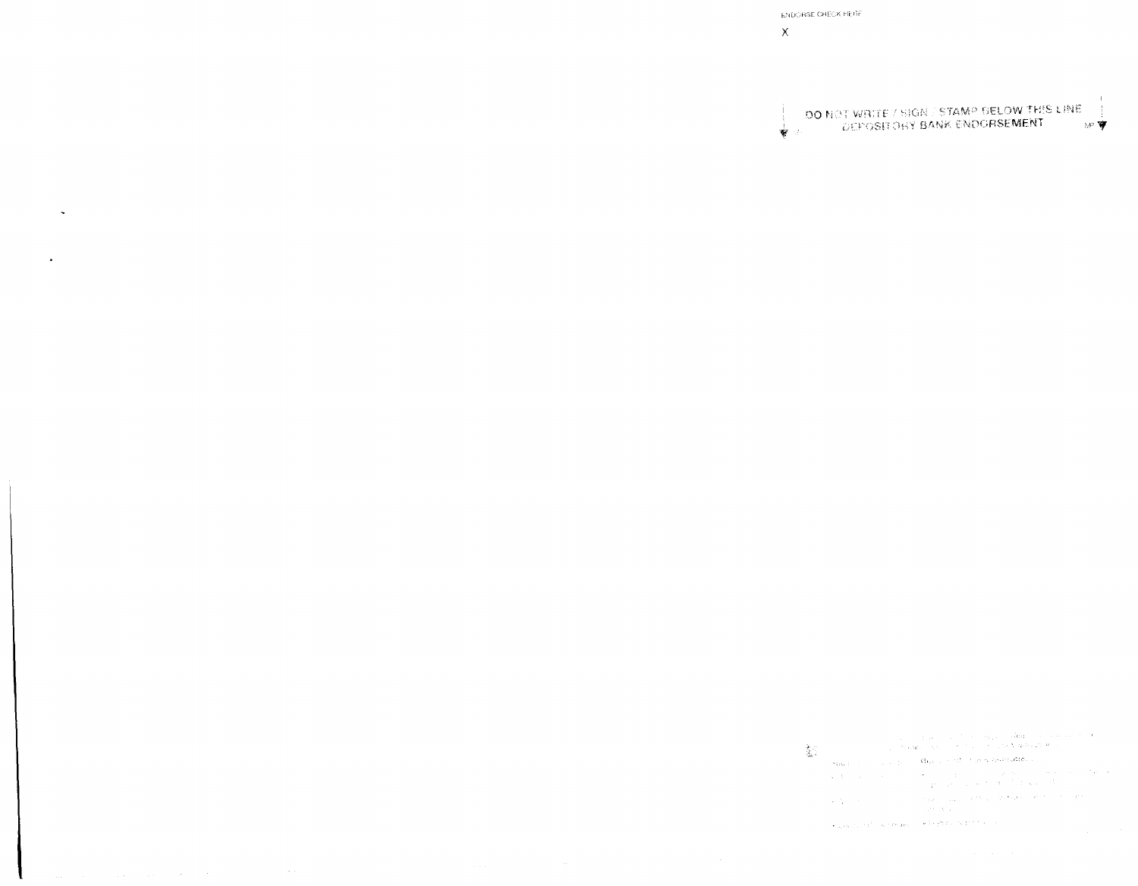$\label{eq:optimal} \begin{split} \mathbf{q}_{\text{LQCD}}(x,y) &= \frac{1}{2\pi}\left[\frac{1}{2\pi}\left(1-\frac{1}{2\pi}\right)\left(\frac{1}{2\pi}\left(\frac{1}{2\pi}\right)\frac{1}{2\pi}\right)\left(\frac{1}{2\pi}\left(\frac{1}{2\pi}\right)\frac{1}{2\pi}\left(\frac{1}{2\pi}\left(\frac{1}{2\pi}\right)\frac{1}{2\pi}\right)\right)\right] \\ &\quad + \frac{1}{2\pi}\left[\frac{1}{2\pi}\left(\frac{1}{2\pi}\left(\frac{1}{2\pi}\right)\frac{1}{2\pi}\right)\left(\$  $\log N_{\rm H}$  , which is a constraint the second constraint of the constraints of the constraints of the constraints of  $\sim$ 

 $\label{eq:2.1} \begin{split} \mathcal{L}_{\text{G}}&=\left(1, \theta^{(1)}-1\right)^{-1} \left(1+\exp\left(-\frac{d\theta}{2\pi}\right)\right) \left(1+\exp\left(-\frac{d\theta}{2\pi}\right)\right) \\ \mathcal{L}_{\text{G}}&=\frac{d\theta}{2\pi}\frac{d\theta}{2\pi}\left(1+\exp\left(-\frac{d\theta}{2\pi}\right)\right) \left(1+\exp\left(-\frac{d\theta}{2\pi}\right)\right) \left(1+\exp\left(-\frac{d\theta}{2\pi}\right)\right) \left(1+\exp\left(-\frac{d\theta}{2\pi}\right)\$ 

 $\left\langle \left\langle \psi_{\lambda\lambda} \right\rangle_{\mathcal{H}} \left\langle \psi_{\lambda\lambda} \right\rangle_{\mathcal{H}} \left\langle \psi_{\lambda\lambda} \right\rangle_{\mathcal{H}} \left\langle \psi_{\lambda\lambda} \right\rangle_{\mathcal{H}} \left\langle \psi_{\lambda\lambda} \right\rangle_{\mathcal{H}} \left\langle \psi_{\lambda\lambda} \right\rangle_{\mathcal{H}} \left\langle \psi_{\lambda\lambda} \right\rangle_{\mathcal{H}} \left\langle \psi_{\lambda\lambda} \right\rangle_{\mathcal{H}} \left\langle \psi_{\lambda\lambda} \right\rangle_{\mathcal{H}}$ 

縠

DO NOT WRITE / SIGN / STAMP BELOW THIS LINE ÷ DEPOSITORY BANK ENDORSEMENT MP **W**  $\frac{1}{N}$  ,  $\alpha$ 

 $\mathsf{X}$ 

 $\sim$ 

 $\sim$ 

**ENDORSE CHECK HERE**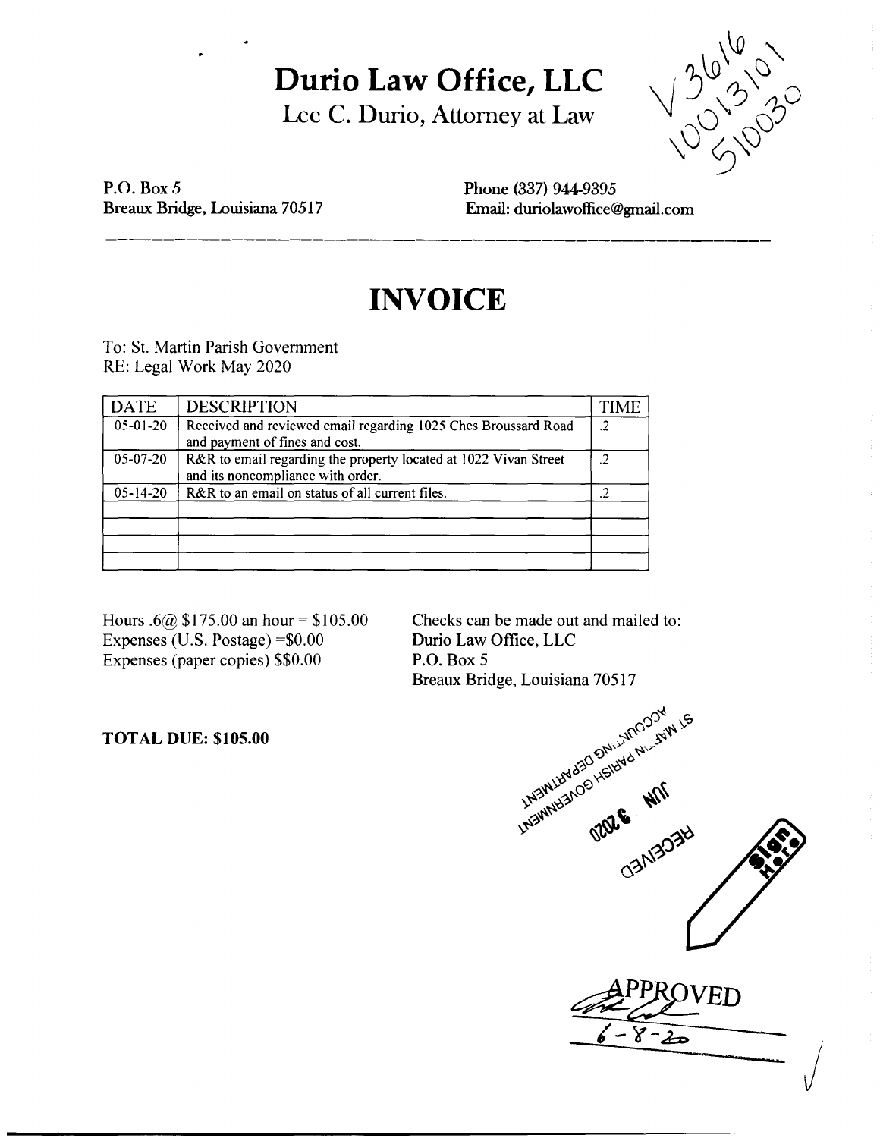Lee C. Durio, Attorney at Law



P.O. Box 5<br>Breaux Bridge, Louisiana 70517<br>Email: duriolawoffice@

Email: duriolawoffice@gmail.com

#### **INVOICE**

To: St. Martin Parish Government RE: Legal Work May 2020

| <b>DATE</b>    | <b>DESCRIPTION</b>                                                                                    | TIME       |
|----------------|-------------------------------------------------------------------------------------------------------|------------|
| $05 - 01 - 20$ | Received and reviewed email regarding 1025 Ches Broussard Road<br>and payment of fines and cost.      | $\cdot$ .2 |
| $05-07-20$     | R&R to email regarding the property located at 1022 Vivan Street<br>and its noncompliance with order. |            |
| $05 - 14 - 20$ | R&R to an email on status of all current files.                                                       | .2         |
|                |                                                                                                       |            |

Hours  $.6@$  \$175.00 an hour = \$105.00 Expenses (U.S. Postage) =\$0.00 Expenses (paper copies) \$\$0.00

Checks can be made out and mailed to: Durio Law Office, LLC P.O. Box 5

**TOTAL DUE: \$105.00** 

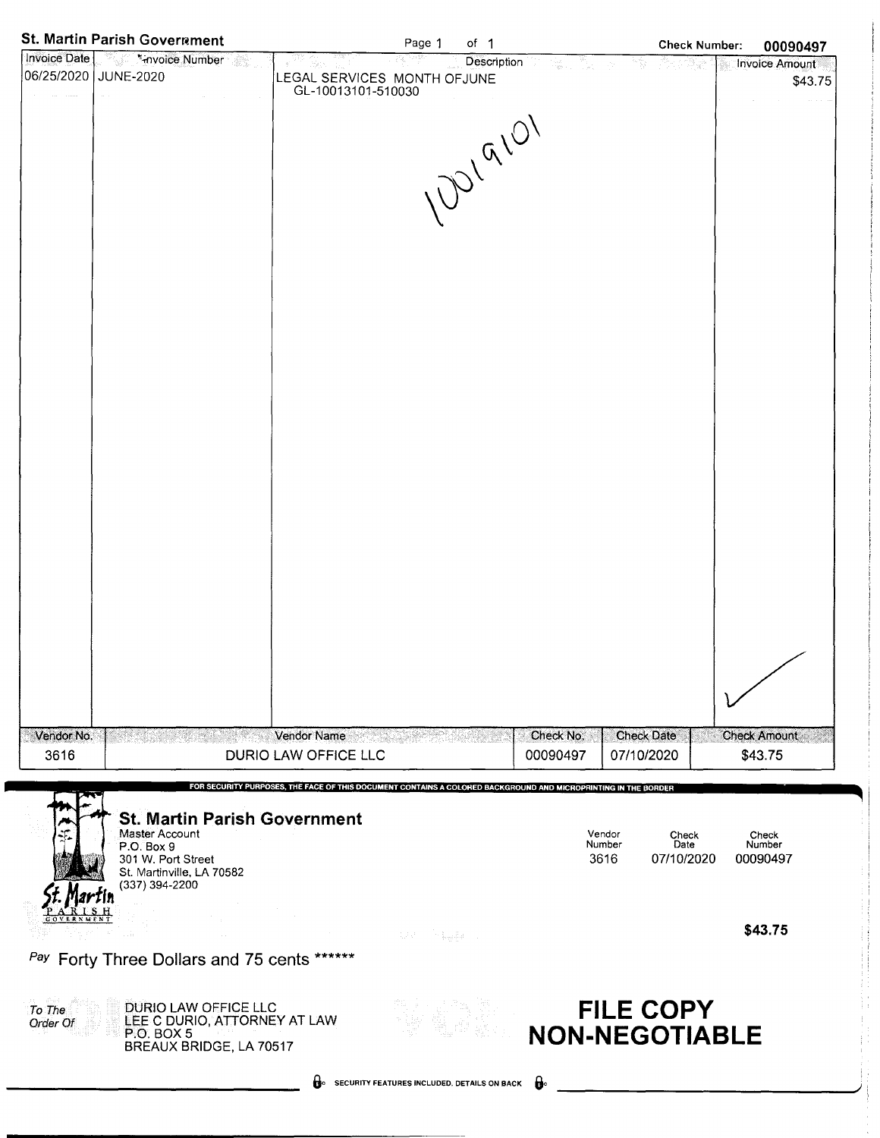|                    | <b>St. Martin Parish Government</b>                                                           |                              | Page 1<br>of 1                                                                                                 |                          | <b>Check Number:</b>                      | 00090497                         |
|--------------------|-----------------------------------------------------------------------------------------------|------------------------------|----------------------------------------------------------------------------------------------------------------|--------------------------|-------------------------------------------|----------------------------------|
| Invoice Date       | <b>Stanvolce Number 1999</b><br>06/25/2020 JUNE-2020                                          | 585 L.<br>GL-10013101-510030 | 도 부분 경쟁<br>Description<br>LEGAL SERVICES MONTH OFJUNE                                                          | 있는 것<br>가족               | NG                                        | <b>Invoice Amount</b><br>\$43.75 |
|                    |                                                                                               |                              | 1001a101                                                                                                       |                          |                                           |                                  |
|                    |                                                                                               |                              |                                                                                                                |                          |                                           |                                  |
|                    |                                                                                               |                              |                                                                                                                |                          |                                           |                                  |
|                    |                                                                                               |                              |                                                                                                                |                          |                                           |                                  |
|                    |                                                                                               |                              |                                                                                                                |                          |                                           |                                  |
|                    |                                                                                               |                              |                                                                                                                |                          |                                           |                                  |
|                    |                                                                                               |                              |                                                                                                                |                          |                                           |                                  |
|                    |                                                                                               |                              |                                                                                                                |                          |                                           |                                  |
|                    |                                                                                               |                              |                                                                                                                |                          |                                           |                                  |
|                    |                                                                                               |                              |                                                                                                                |                          |                                           |                                  |
|                    |                                                                                               |                              |                                                                                                                |                          |                                           |                                  |
| Vendor No.         |                                                                                               | Vendor Name                  |                                                                                                                | Check No.                | <b>Check Date</b>                         | Check Amount                     |
| 3616               |                                                                                               | DURIO LAW OFFICE LLC         |                                                                                                                | 00090497                 | 07/10/2020                                | \$43.75                          |
|                    | <b>St. Martin Parish Government</b><br>Master Account                                         |                              | FOR SECURITY PURPOSES, THE FACE OF THIS DOCUMENT CONTAINS A COLORED BACKGROUND AND MICROPRINTING IN THE BORDER |                          |                                           |                                  |
|                    | P.O. Box 9<br>301 W. Port Street<br>St. Martinville, LA 70582<br>(337) 394-2200               |                              |                                                                                                                | Vendor<br>Number<br>3616 | Check<br>Date<br>07/10/2020               | Check<br>Number<br>00090497      |
|                    |                                                                                               |                              | 1245<br>o Malie C                                                                                              |                          |                                           | \$43.75                          |
|                    | Pay Forty Three Dollars and 75 cents ******                                                   |                              |                                                                                                                |                          |                                           |                                  |
| To The<br>Order Of | DURIO LAW OFFICE LLC<br>LEE C DURIO, ATTORNEY AT LAW<br>P.O. BOX 5<br>BREAUX BRIDGE, LA 70517 |                              |                                                                                                                |                          | <b>FILE COPY</b><br><b>NON-NEGOTIABLE</b> |                                  |
|                    |                                                                                               |                              | SECURITY FEATURES INCLUDED. DETAILS ON BACK                                                                    | $\mathbf{e}$             |                                           |                                  |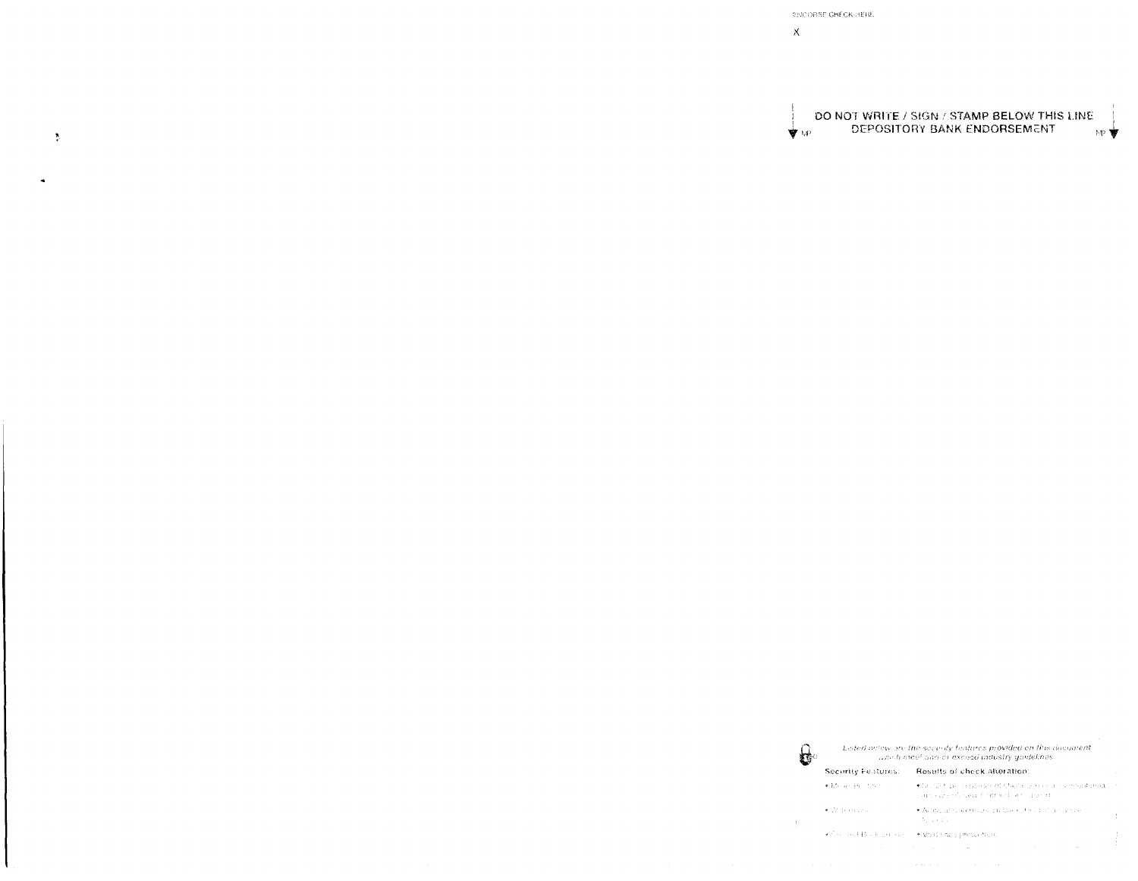$\mathbb{R}^n$ 

 $\lambda$ 

Ť

DEPOSITORY BANK ENDORSEMENT

- Listed below are the secondy features provided on fitis document.  $\mathbf{\Theta}$ which meet and or excess industry gaidelines. Security Features: Results of check alteration: . . More Protection of the Windows of Case and conservational

completely educated for both and speed of  $\bullet$  Welcompany  $\blacktriangleright$  Acting absorptions are different to a result in the second  $\{b_{k,k},c_{k,k}\}$  ,  $\{c_{k,k}\}$  $\left\langle \bullet\right\rangle ^{2}\left\langle \phi\right\rangle \left\langle \phi\phi\right\rangle \left\langle \left\{ \xi\phi\right\} \left\langle \psi\right\rangle \left\langle \phi\right\rangle \left\langle \phi\right\rangle \right\rangle =\left\langle \bullet\right\rangle \sqrt{\left\langle \phi\right\rangle \left\langle \phi\right\rangle \left\langle \phi\right\rangle \left\langle \phi\right\rangle \left\langle \phi\right\rangle \left\langle \phi\right\rangle \left\langle \phi\right\rangle \left\langle \phi\right\rangle \left\langle \phi\right\rangle }$ 

DO NOT WRITE / SIGN / STAMP BELOW THIS LINE

 $\bigtriangledown$   $\mathcal{M}$ 

 $\sim 10^{-5}$ 

 $\ddot{\phantom{a}}$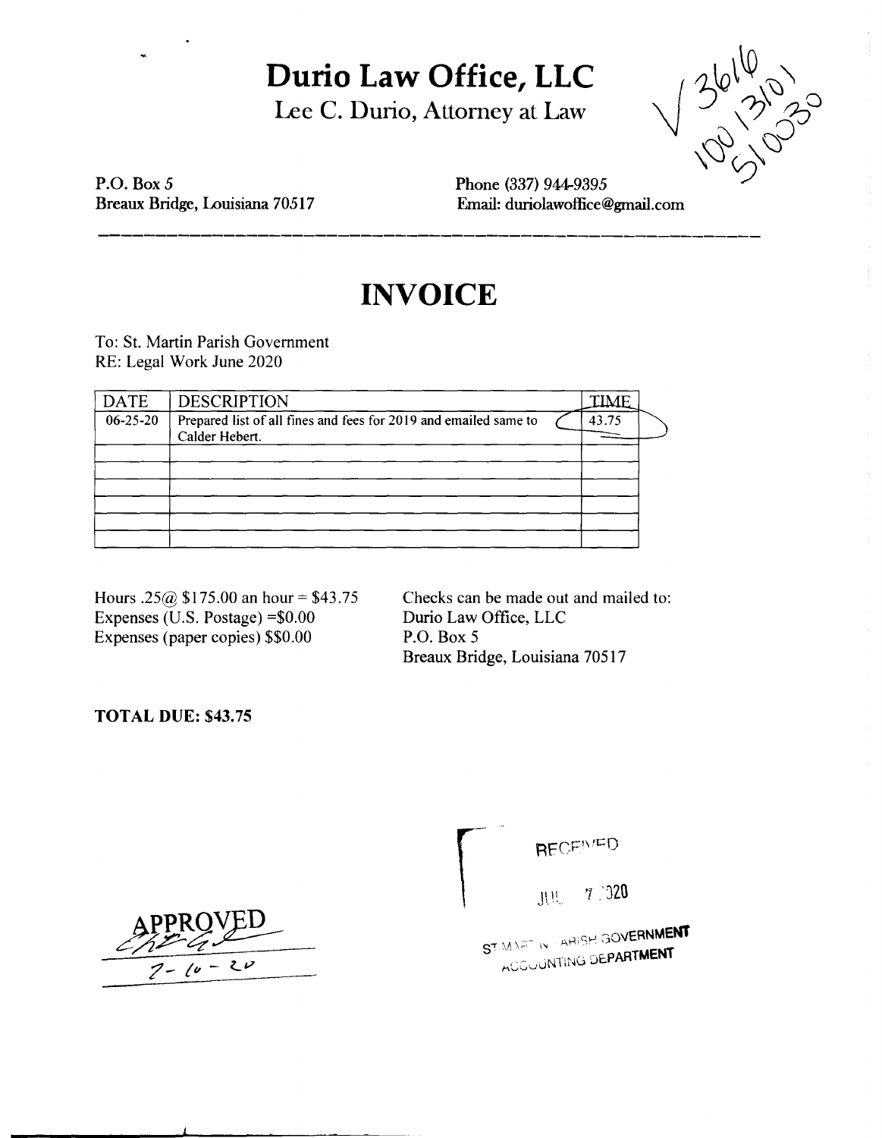Lee C. Durio, Attorney at Law



P.O. Box5

Phone (337) 944-9395 Breaux Bridge, Louisiana 70517 Email: duriolawoffice@gmail.com

#### **INVOICE**

To: St. Martin Parish Government RE: Legal Work June 2020

| <b>DATE</b>    | <b>DESCRIPTION</b>                                                                 |       |  |
|----------------|------------------------------------------------------------------------------------|-------|--|
| $06 - 25 - 20$ | Prepared list of all fines and fees for 2019 and emailed same to<br>Calder Hebert. | 43.75 |  |
|                |                                                                                    |       |  |
|                |                                                                                    |       |  |
|                |                                                                                    |       |  |
|                |                                                                                    |       |  |

Hours .25@ \$175.00 an hour = \$43.75 Expenses (U.S. Postage) =\$0.00 Expenses (paper copies) \$\$0.00

Checks can be made out and mailed to: Durio Law Office, LLC P.O. Box 5 Breaux Bridge, Louisiana 70517

**TOTAL DUE: \$43.75** 

RECENTED

 $JU$ . / ')20

ST MART IN HARISH GOVERNMENT MARTIN LARISTOCYCLE



 $\iota$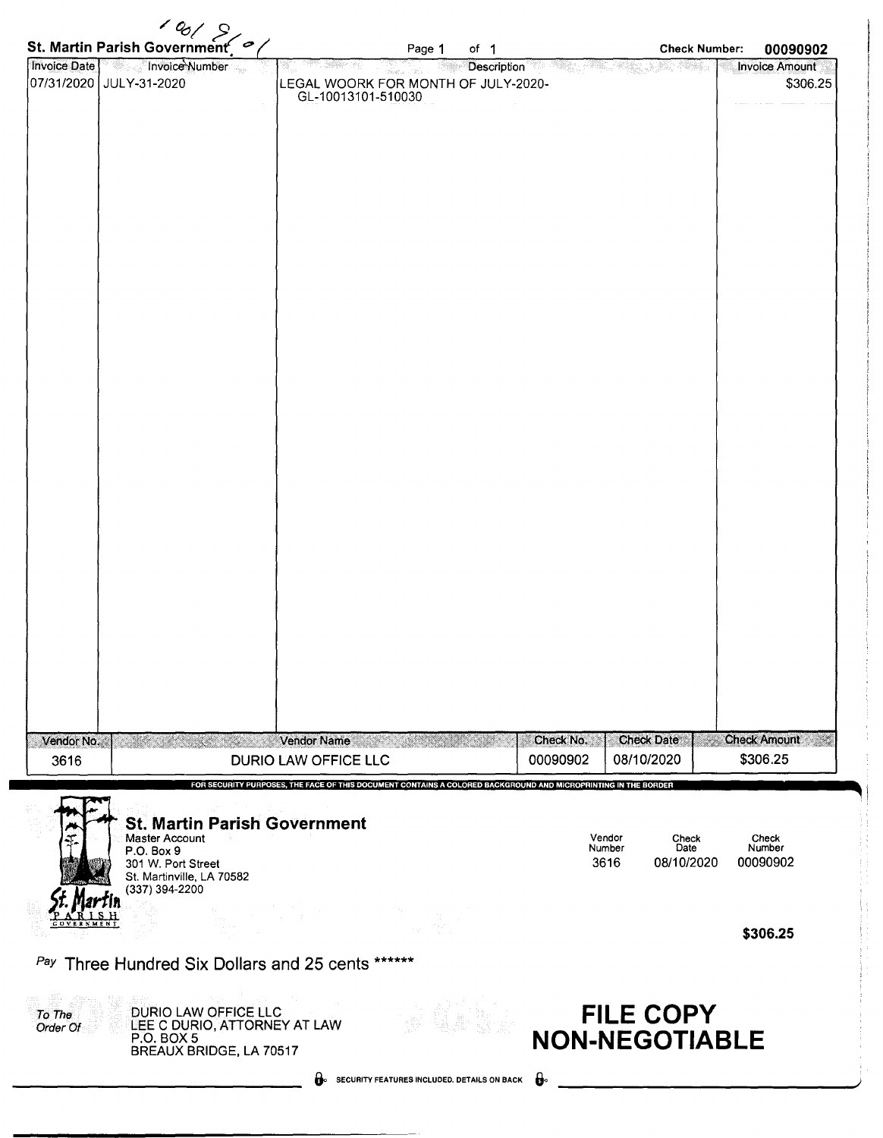|                    | $\mathcal{P}$                                                                                                          |                                                                                                                                                       | Page 1             | of $1$      |                                                   |                                 | <b>Check Number:</b>        | 00090902                                                       |
|--------------------|------------------------------------------------------------------------------------------------------------------------|-------------------------------------------------------------------------------------------------------------------------------------------------------|--------------------|-------------|---------------------------------------------------|---------------------------------|-----------------------------|----------------------------------------------------------------|
| Invoice Date       | St. Martin Parish Government<br><b>Second Science Mumber</b><br>07/31/2020 JULY-31-2020                                | an alike at<br>LEGAL WOORK FOR MONTH OF JULY-2020-<br>GL-10013101-510030                                                                              | 정환 역사<br>12월부 : 2월 | Description |                                                   |                                 |                             | <b>Invoice Amount</b><br>\$306.25                              |
| Vendor No.<br>3616 | <b>St. Martin Parish Government</b><br>Master Account<br>P.O. Box 9<br>301 W. Port Street<br>St. Martinville, LA 70582 | Vendor Name<br>DURIO LAW OFFICE LLC<br>FOR SECURITY PURPOSES, THE FACE OF THIS DOCUMENT CONTAINS A COLORED BACKGROUND AND MICROPRINTING IN THE BORDER |                    |             | Check No.<br>00090902<br>Vendor<br>Number<br>3616 | <b>Check Date</b><br>08/10/2020 | Check<br>Date<br>08/10/2020 | <b>Check Amount</b><br>\$306.25<br>Check<br>Number<br>00090902 |
|                    | (337) 394-2200<br>Pay Three Hundred Six Dollars and 25 cents ******                                                    |                                                                                                                                                       |                    |             |                                                   |                                 |                             | \$306.25                                                       |
| To The<br>Order Of | DURIO LAW OFFICE LLC<br>LEE C DURIO, ATTORNEY AT LAW<br>P.O. BOX 5<br>BREAUX BRIDGE, LA 70517                          | SECURITY FEATURES INCLUDED. DETAILS ON BACK                                                                                                           |                    |             | <b>NON-NEGOTIABLE</b><br>$\mathbf{e}$             |                                 | <b>FILE COPY</b>            |                                                                |

k.<br>H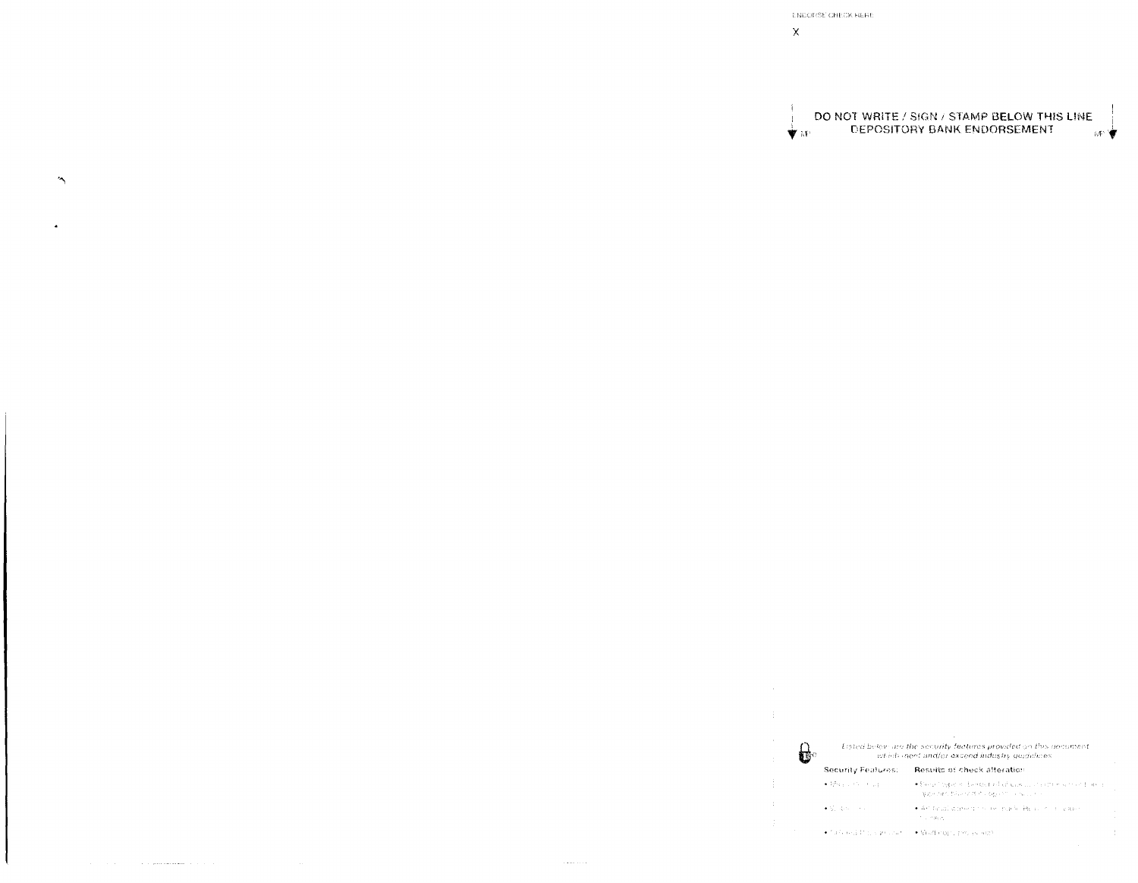**ENDORSE CHECK HERE** 

 $\bar{X}$ 

DO NOT WRITE / SIGN / STAMP BELOW THIS LINE **DEPOSITORY BANK ENDORSEMENT** wP <del>V</del>  $\dot{\mathbf{v}}$  m

 $\theta$ Listed below are the security features provided on this document. which ment and/or exceed industry guideleces Security Features: Results of check alteration  $\bullet$   $M_{\rm PWHM}$  and  $\sim$   $\alpha_{\rm PWHM}$  $\rightarrow$  Singlet sype in Europe relations and construction of the relations of  $\label{eq:4.1} \qquad \text{if } \mathcal{G}_1 \leq \mathcal{M} \leq \text{if } \mathcal{G}_0 \leq \mathcal{G} \leq \mathcal{G} \leq \text{if } \mathcal{G}_1 \leq \mathcal{G}_2 \leq \mathcal{G} \leq \text{if } \mathcal{G}_{\text{MSE}} \leq \mathcal{G} \leq \text{if } \mathcal{G}_{\text{MSE}} \leq \text{if } \mathcal{G} \leq \text{if } \mathcal{G} \leq \mathcal{G} \leq \text{if } \mathcal{G} \leq \text{if } \mathcal{G} \leq \text{$  $\mathcal{A}(\mathcal{Q}_1,\mathcal{Q}_2)$  , where  $\mathcal{Q}_1$ - CAC religion models to the map be FR and the graphs.  $\gamma^{\mu\nu}$  ,  $\gamma^{\mu}$  and  $\sigma_{\nu}$  $\bullet$  "set onlittles receive"  $\bullet$  Vodi copy proved outs .  $\pm$ 

 $\hat{\mathcal{A}}$ 

 $\mathbf{A}$